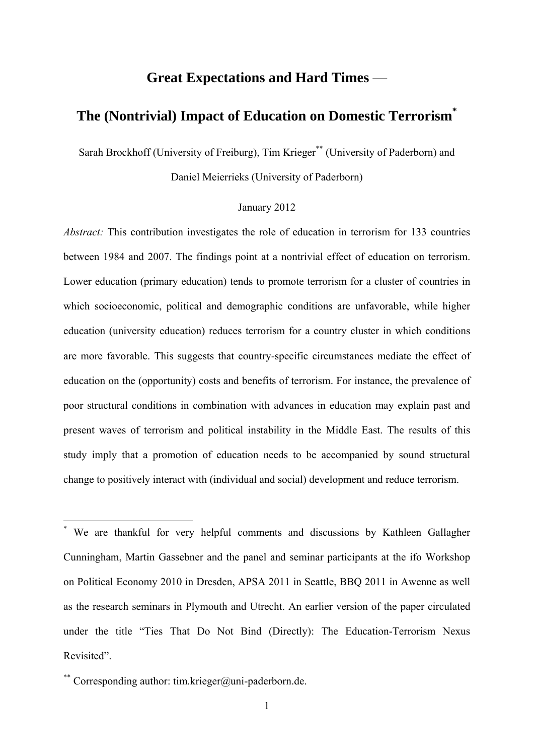# **Great Expectations and Hard Times** —

# **The (Nontrivial) Impact of Education on Domestic Terrorism\***

Sarah Brockhoff (University of Freiburg), Tim Krieger<sup>\*\*</sup> (University of Paderborn) and

Daniel Meierrieks (University of Paderborn)

# January 2012

*Abstract:* This contribution investigates the role of education in terrorism for 133 countries between 1984 and 2007. The findings point at a nontrivial effect of education on terrorism. Lower education (primary education) tends to promote terrorism for a cluster of countries in which socioeconomic, political and demographic conditions are unfavorable, while higher education (university education) reduces terrorism for a country cluster in which conditions are more favorable. This suggests that country-specific circumstances mediate the effect of education on the (opportunity) costs and benefits of terrorism. For instance, the prevalence of poor structural conditions in combination with advances in education may explain past and present waves of terrorism and political instability in the Middle East. The results of this study imply that a promotion of education needs to be accompanied by sound structural change to positively interact with (individual and social) development and reduce terrorism.

\* We are thankful for very helpful comments and discussions by Kathleen Gallagher Cunningham, Martin Gassebner and the panel and seminar participants at the ifo Workshop on Political Economy 2010 in Dresden, APSA 2011 in Seattle, BBQ 2011 in Awenne as well as the research seminars in Plymouth and Utrecht. An earlier version of the paper circulated under the title "Ties That Do Not Bind (Directly): The Education-Terrorism Nexus Revisited".

\*\* Corresponding author: tim.krieger@uni-paderborn.de.

<u>.</u>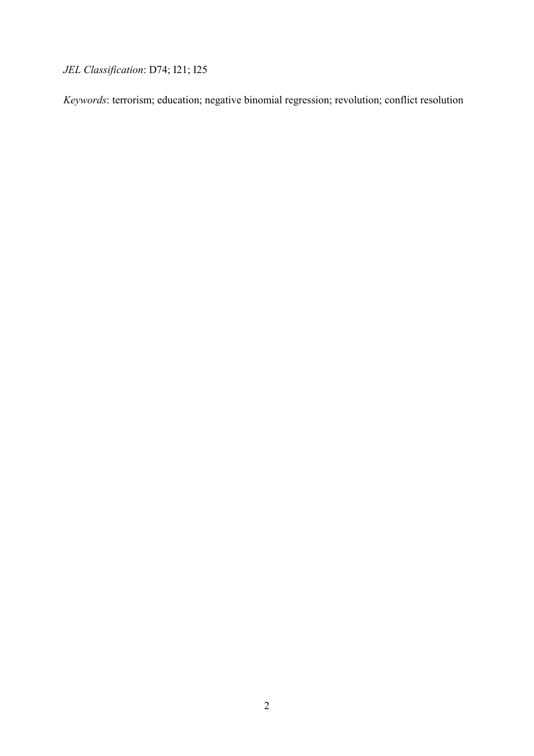*JEL Classification*: D74; I21; I25

*Keywords*: terrorism; education; negative binomial regression; revolution; conflict resolution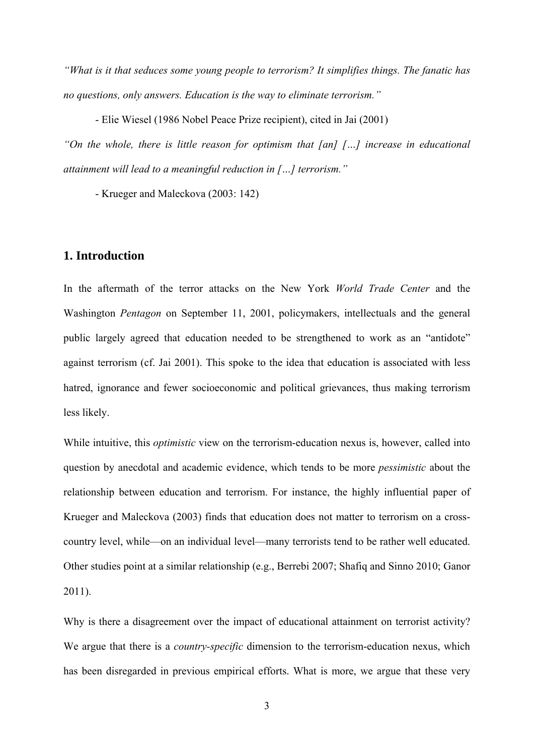*"What is it that seduces some young people to terrorism? It simplifies things. The fanatic has no questions, only answers. Education is the way to eliminate terrorism."* 

 - Elie Wiesel (1986 Nobel Peace Prize recipient), cited in Jai (2001) *"On the whole, there is little reason for optimism that [an] […] increase in educational attainment will lead to a meaningful reduction in […] terrorism."* 

- Krueger and Maleckova (2003: 142)

# **1. Introduction**

In the aftermath of the terror attacks on the New York *World Trade Center* and the Washington *Pentagon* on September 11, 2001, policymakers, intellectuals and the general public largely agreed that education needed to be strengthened to work as an "antidote" against terrorism (cf. Jai 2001). This spoke to the idea that education is associated with less hatred, ignorance and fewer socioeconomic and political grievances, thus making terrorism less likely.

While intuitive, this *optimistic* view on the terrorism-education nexus is, however, called into question by anecdotal and academic evidence, which tends to be more *pessimistic* about the relationship between education and terrorism. For instance, the highly influential paper of Krueger and Maleckova (2003) finds that education does not matter to terrorism on a crosscountry level, while—on an individual level—many terrorists tend to be rather well educated. Other studies point at a similar relationship (e.g., Berrebi 2007; Shafiq and Sinno 2010; Ganor 2011).

Why is there a disagreement over the impact of educational attainment on terrorist activity? We argue that there is a *country-specific* dimension to the terrorism-education nexus, which has been disregarded in previous empirical efforts. What is more, we argue that these very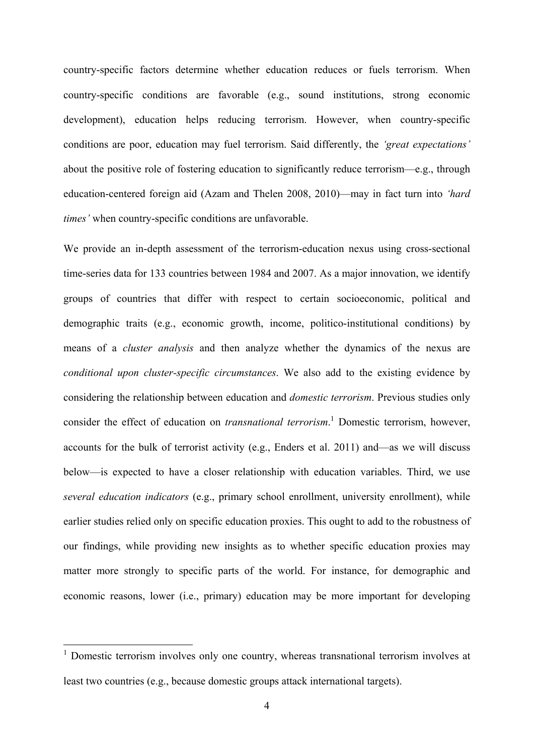country-specific factors determine whether education reduces or fuels terrorism. When country-specific conditions are favorable (e.g., sound institutions, strong economic development), education helps reducing terrorism. However, when country-specific conditions are poor, education may fuel terrorism. Said differently, the *'great expectations'* about the positive role of fostering education to significantly reduce terrorism—e.g., through education-centered foreign aid (Azam and Thelen 2008, 2010)—may in fact turn into *'hard times'* when country-specific conditions are unfavorable.

We provide an in-depth assessment of the terrorism-education nexus using cross-sectional time-series data for 133 countries between 1984 and 2007. As a major innovation, we identify groups of countries that differ with respect to certain socioeconomic, political and demographic traits (e.g., economic growth, income, politico-institutional conditions) by means of a *cluster analysis* and then analyze whether the dynamics of the nexus are *conditional upon cluster-specific circumstances*. We also add to the existing evidence by considering the relationship between education and *domestic terrorism*. Previous studies only consider the effect of education on *transnational terrorism*.<sup>1</sup> Domestic terrorism, however, accounts for the bulk of terrorist activity (e.g., Enders et al. 2011) and—as we will discuss below—is expected to have a closer relationship with education variables. Third, we use *several education indicators* (e.g., primary school enrollment, university enrollment), while earlier studies relied only on specific education proxies. This ought to add to the robustness of our findings, while providing new insights as to whether specific education proxies may matter more strongly to specific parts of the world. For instance, for demographic and economic reasons, lower (i.e., primary) education may be more important for developing

1

<sup>&</sup>lt;sup>1</sup> Domestic terrorism involves only one country, whereas transnational terrorism involves at least two countries (e.g., because domestic groups attack international targets).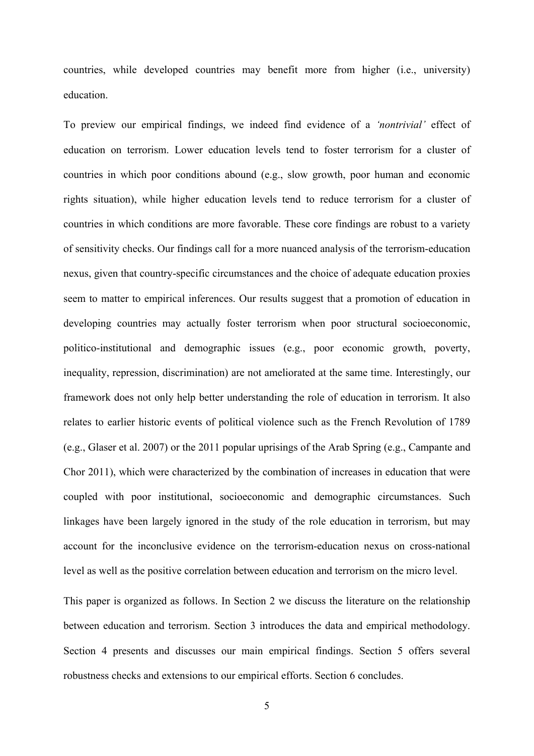countries, while developed countries may benefit more from higher (i.e., university) education.

To preview our empirical findings, we indeed find evidence of a *'nontrivial'* effect of education on terrorism. Lower education levels tend to foster terrorism for a cluster of countries in which poor conditions abound (e.g., slow growth, poor human and economic rights situation), while higher education levels tend to reduce terrorism for a cluster of countries in which conditions are more favorable. These core findings are robust to a variety of sensitivity checks. Our findings call for a more nuanced analysis of the terrorism-education nexus, given that country-specific circumstances and the choice of adequate education proxies seem to matter to empirical inferences. Our results suggest that a promotion of education in developing countries may actually foster terrorism when poor structural socioeconomic, politico-institutional and demographic issues (e.g., poor economic growth, poverty, inequality, repression, discrimination) are not ameliorated at the same time. Interestingly, our framework does not only help better understanding the role of education in terrorism. It also relates to earlier historic events of political violence such as the French Revolution of 1789 (e.g., Glaser et al. 2007) or the 2011 popular uprisings of the Arab Spring (e.g., Campante and Chor 2011), which were characterized by the combination of increases in education that were coupled with poor institutional, socioeconomic and demographic circumstances. Such linkages have been largely ignored in the study of the role education in terrorism, but may account for the inconclusive evidence on the terrorism-education nexus on cross-national level as well as the positive correlation between education and terrorism on the micro level.

This paper is organized as follows. In Section 2 we discuss the literature on the relationship between education and terrorism. Section 3 introduces the data and empirical methodology. Section 4 presents and discusses our main empirical findings. Section 5 offers several robustness checks and extensions to our empirical efforts. Section 6 concludes.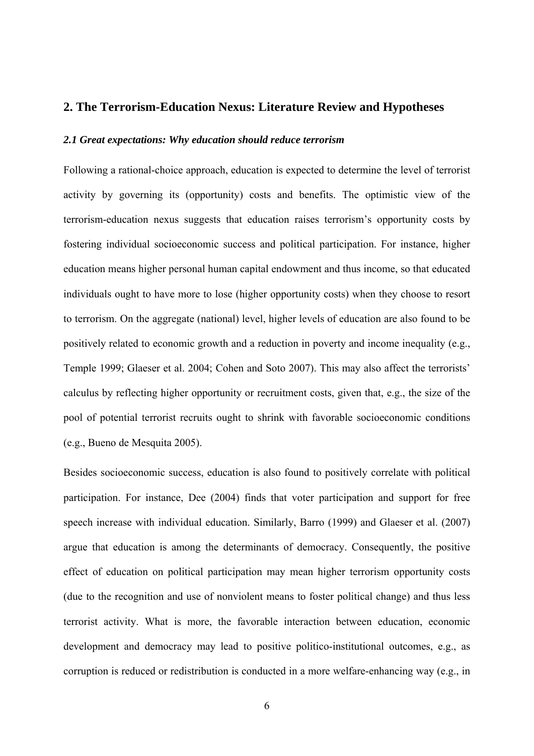# **2. The Terrorism-Education Nexus: Literature Review and Hypotheses**

#### *2.1 Great expectations: Why education should reduce terrorism*

Following a rational-choice approach, education is expected to determine the level of terrorist activity by governing its (opportunity) costs and benefits. The optimistic view of the terrorism-education nexus suggests that education raises terrorism's opportunity costs by fostering individual socioeconomic success and political participation. For instance, higher education means higher personal human capital endowment and thus income, so that educated individuals ought to have more to lose (higher opportunity costs) when they choose to resort to terrorism. On the aggregate (national) level, higher levels of education are also found to be positively related to economic growth and a reduction in poverty and income inequality (e.g., Temple 1999; Glaeser et al. 2004; Cohen and Soto 2007). This may also affect the terrorists' calculus by reflecting higher opportunity or recruitment costs, given that, e.g., the size of the pool of potential terrorist recruits ought to shrink with favorable socioeconomic conditions (e.g., Bueno de Mesquita 2005).

Besides socioeconomic success, education is also found to positively correlate with political participation. For instance, Dee (2004) finds that voter participation and support for free speech increase with individual education. Similarly, Barro (1999) and Glaeser et al. (2007) argue that education is among the determinants of democracy. Consequently, the positive effect of education on political participation may mean higher terrorism opportunity costs (due to the recognition and use of nonviolent means to foster political change) and thus less terrorist activity. What is more, the favorable interaction between education, economic development and democracy may lead to positive politico-institutional outcomes, e.g., as corruption is reduced or redistribution is conducted in a more welfare-enhancing way (e.g., in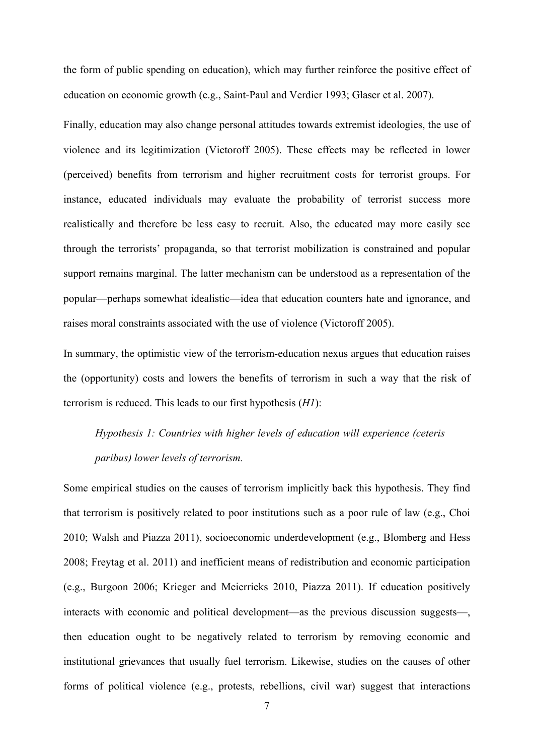the form of public spending on education), which may further reinforce the positive effect of education on economic growth (e.g., Saint-Paul and Verdier 1993; Glaser et al. 2007).

Finally, education may also change personal attitudes towards extremist ideologies, the use of violence and its legitimization (Victoroff 2005). These effects may be reflected in lower (perceived) benefits from terrorism and higher recruitment costs for terrorist groups. For instance, educated individuals may evaluate the probability of terrorist success more realistically and therefore be less easy to recruit. Also, the educated may more easily see through the terrorists' propaganda, so that terrorist mobilization is constrained and popular support remains marginal. The latter mechanism can be understood as a representation of the popular—perhaps somewhat idealistic—idea that education counters hate and ignorance, and raises moral constraints associated with the use of violence (Victoroff 2005).

In summary, the optimistic view of the terrorism-education nexus argues that education raises the (opportunity) costs and lowers the benefits of terrorism in such a way that the risk of terrorism is reduced. This leads to our first hypothesis (*H1*):

# *Hypothesis 1: Countries with higher levels of education will experience (ceteris paribus) lower levels of terrorism.*

Some empirical studies on the causes of terrorism implicitly back this hypothesis. They find that terrorism is positively related to poor institutions such as a poor rule of law (e.g., Choi 2010; Walsh and Piazza 2011), socioeconomic underdevelopment (e.g., Blomberg and Hess 2008; Freytag et al. 2011) and inefficient means of redistribution and economic participation (e.g., Burgoon 2006; Krieger and Meierrieks 2010, Piazza 2011). If education positively interacts with economic and political development—as the previous discussion suggests—, then education ought to be negatively related to terrorism by removing economic and institutional grievances that usually fuel terrorism. Likewise, studies on the causes of other forms of political violence (e.g., protests, rebellions, civil war) suggest that interactions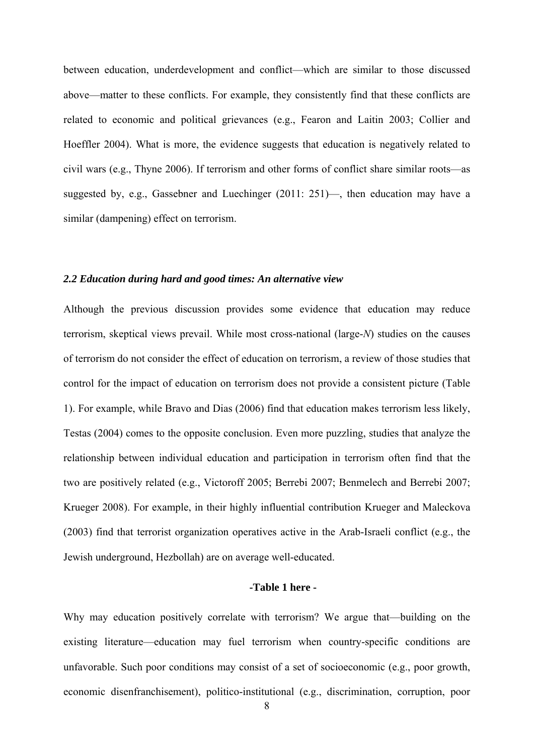between education, underdevelopment and conflict—which are similar to those discussed above—matter to these conflicts. For example, they consistently find that these conflicts are related to economic and political grievances (e.g., Fearon and Laitin 2003; Collier and Hoeffler 2004). What is more, the evidence suggests that education is negatively related to civil wars (e.g., Thyne 2006). If terrorism and other forms of conflict share similar roots—as suggested by, e.g., Gassebner and Luechinger (2011: 251)—, then education may have a similar (dampening) effect on terrorism.

#### *2.2 Education during hard and good times: An alternative view*

Although the previous discussion provides some evidence that education may reduce terrorism, skeptical views prevail. While most cross-national (large-*N*) studies on the causes of terrorism do not consider the effect of education on terrorism, a review of those studies that control for the impact of education on terrorism does not provide a consistent picture (Table 1). For example, while Bravo and Dias (2006) find that education makes terrorism less likely, Testas (2004) comes to the opposite conclusion. Even more puzzling, studies that analyze the relationship between individual education and participation in terrorism often find that the two are positively related (e.g., Victoroff 2005; Berrebi 2007; Benmelech and Berrebi 2007; Krueger 2008). For example, in their highly influential contribution Krueger and Maleckova (2003) find that terrorist organization operatives active in the Arab-Israeli conflict (e.g., the Jewish underground, Hezbollah) are on average well-educated.

# **-Table 1 here -**

Why may education positively correlate with terrorism? We argue that—building on the existing literature—education may fuel terrorism when country-specific conditions are unfavorable. Such poor conditions may consist of a set of socioeconomic (e.g., poor growth, economic disenfranchisement), politico-institutional (e.g., discrimination, corruption, poor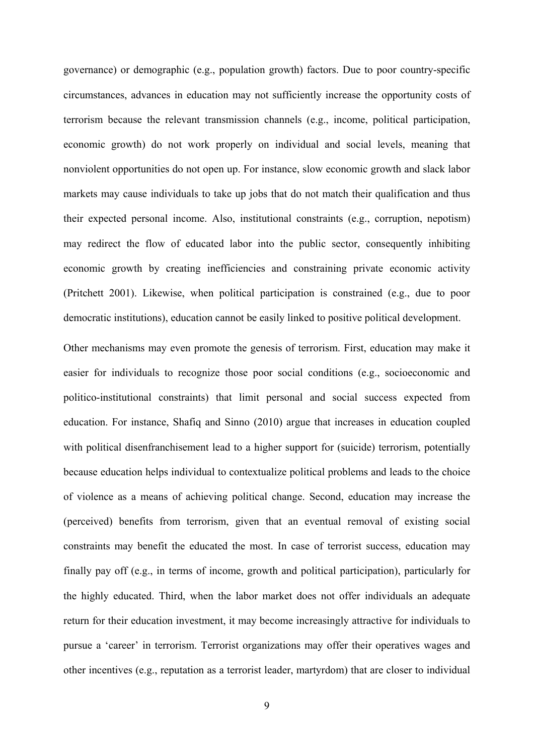governance) or demographic (e.g., population growth) factors. Due to poor country-specific circumstances, advances in education may not sufficiently increase the opportunity costs of terrorism because the relevant transmission channels (e.g., income, political participation, economic growth) do not work properly on individual and social levels, meaning that nonviolent opportunities do not open up. For instance, slow economic growth and slack labor markets may cause individuals to take up jobs that do not match their qualification and thus their expected personal income. Also, institutional constraints (e.g., corruption, nepotism) may redirect the flow of educated labor into the public sector, consequently inhibiting economic growth by creating inefficiencies and constraining private economic activity (Pritchett 2001). Likewise, when political participation is constrained (e.g., due to poor democratic institutions), education cannot be easily linked to positive political development.

Other mechanisms may even promote the genesis of terrorism. First, education may make it easier for individuals to recognize those poor social conditions (e.g., socioeconomic and politico-institutional constraints) that limit personal and social success expected from education. For instance, Shafiq and Sinno (2010) argue that increases in education coupled with political disenfranchisement lead to a higher support for (suicide) terrorism, potentially because education helps individual to contextualize political problems and leads to the choice of violence as a means of achieving political change. Second, education may increase the (perceived) benefits from terrorism, given that an eventual removal of existing social constraints may benefit the educated the most. In case of terrorist success, education may finally pay off (e.g., in terms of income, growth and political participation), particularly for the highly educated. Third, when the labor market does not offer individuals an adequate return for their education investment, it may become increasingly attractive for individuals to pursue a 'career' in terrorism. Terrorist organizations may offer their operatives wages and other incentives (e.g., reputation as a terrorist leader, martyrdom) that are closer to individual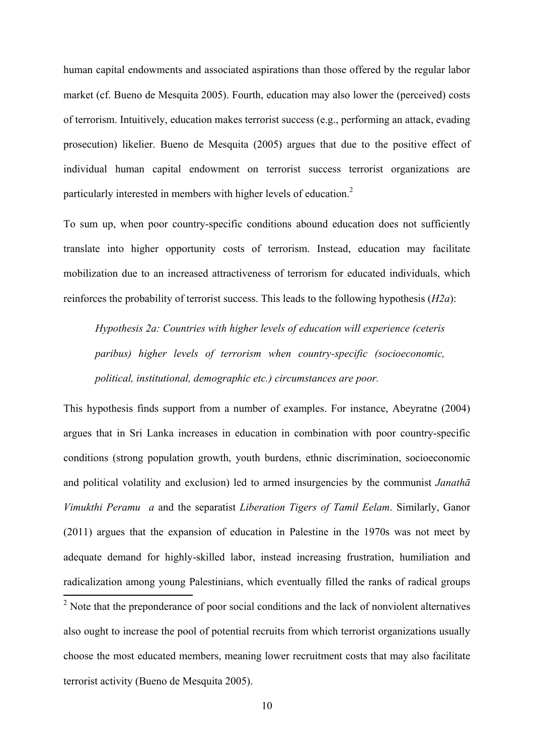human capital endowments and associated aspirations than those offered by the regular labor market (cf. Bueno de Mesquita 2005). Fourth, education may also lower the (perceived) costs of terrorism. Intuitively, education makes terrorist success (e.g., performing an attack, evading prosecution) likelier. Bueno de Mesquita (2005) argues that due to the positive effect of individual human capital endowment on terrorist success terrorist organizations are particularly interested in members with higher levels of education.<sup>2</sup>

To sum up, when poor country-specific conditions abound education does not sufficiently translate into higher opportunity costs of terrorism. Instead, education may facilitate mobilization due to an increased attractiveness of terrorism for educated individuals, which reinforces the probability of terrorist success. This leads to the following hypothesis (*H2a*):

*Hypothesis 2a: Countries with higher levels of education will experience (ceteris paribus) higher levels of terrorism when country-specific (socioeconomic, political, institutional, demographic etc.) circumstances are poor.*

This hypothesis finds support from a number of examples. For instance, Abeyratne (2004) argues that in Sri Lanka increases in education in combination with poor country-specific conditions (strong population growth, youth burdens, ethnic discrimination, socioeconomic and political volatility and exclusion) led to armed insurgencies by the communist *Janathā Vimukthi Peramu a* and the separatist *Liberation Tigers of Tamil Eelam*. Similarly, Ganor (2011) argues that the expansion of education in Palestine in the 1970s was not meet by adequate demand for highly-skilled labor, instead increasing frustration, humiliation and radicalization among young Palestinians, which eventually filled the ranks of radical groups <sup>2</sup> Note that the preponderance of poor social conditions and the lack of nonviolent alternatives also ought to increase the pool of potential recruits from which terrorist organizations usually choose the most educated members, meaning lower recruitment costs that may also facilitate terrorist activity (Bueno de Mesquita 2005).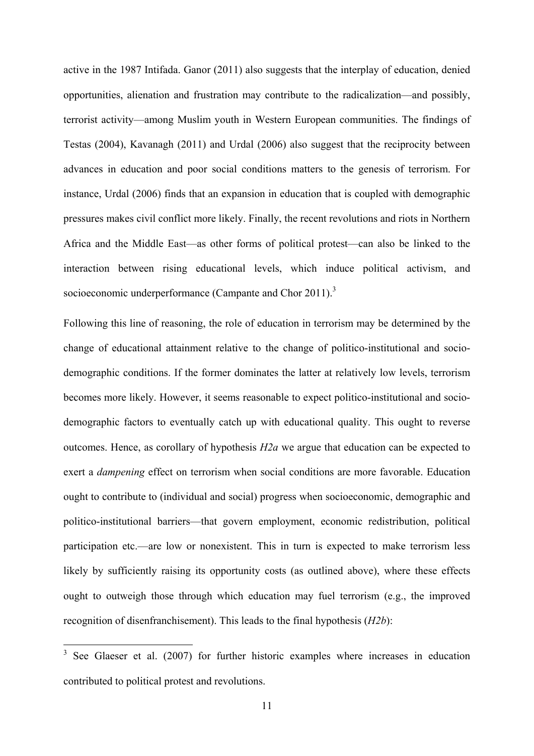active in the 1987 Intifada. Ganor (2011) also suggests that the interplay of education, denied opportunities, alienation and frustration may contribute to the radicalization—and possibly, terrorist activity—among Muslim youth in Western European communities. The findings of Testas (2004), Kavanagh (2011) and Urdal (2006) also suggest that the reciprocity between advances in education and poor social conditions matters to the genesis of terrorism. For instance, Urdal (2006) finds that an expansion in education that is coupled with demographic pressures makes civil conflict more likely. Finally, the recent revolutions and riots in Northern Africa and the Middle East—as other forms of political protest—can also be linked to the interaction between rising educational levels, which induce political activism, and socioeconomic underperformance (Campante and Chor 2011).<sup>3</sup>

Following this line of reasoning, the role of education in terrorism may be determined by the change of educational attainment relative to the change of politico-institutional and sociodemographic conditions. If the former dominates the latter at relatively low levels, terrorism becomes more likely. However, it seems reasonable to expect politico-institutional and sociodemographic factors to eventually catch up with educational quality. This ought to reverse outcomes. Hence, as corollary of hypothesis *H2a* we argue that education can be expected to exert a *dampening* effect on terrorism when social conditions are more favorable. Education ought to contribute to (individual and social) progress when socioeconomic, demographic and politico-institutional barriers—that govern employment, economic redistribution, political participation etc.—are low or nonexistent. This in turn is expected to make terrorism less likely by sufficiently raising its opportunity costs (as outlined above), where these effects ought to outweigh those through which education may fuel terrorism (e.g., the improved recognition of disenfranchisement). This leads to the final hypothesis (*H2b*):

<sup>&</sup>lt;sup>3</sup> See Glaeser et al. (2007) for further historic examples where increases in education contributed to political protest and revolutions.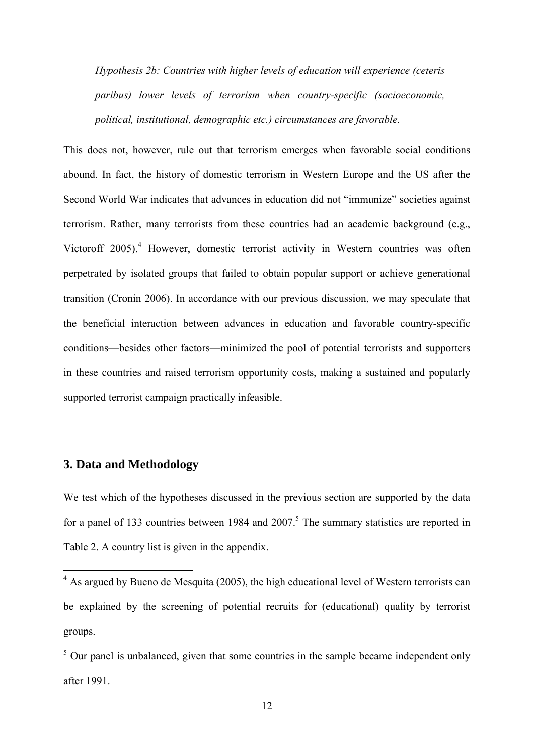*Hypothesis 2b: Countries with higher levels of education will experience (ceteris paribus) lower levels of terrorism when country-specific (socioeconomic, political, institutional, demographic etc.) circumstances are favorable.*

This does not, however, rule out that terrorism emerges when favorable social conditions abound. In fact, the history of domestic terrorism in Western Europe and the US after the Second World War indicates that advances in education did not "immunize" societies against terrorism. Rather, many terrorists from these countries had an academic background (e.g., Victoroff 2005).<sup>4</sup> However, domestic terrorist activity in Western countries was often perpetrated by isolated groups that failed to obtain popular support or achieve generational transition (Cronin 2006). In accordance with our previous discussion, we may speculate that the beneficial interaction between advances in education and favorable country-specific conditions—besides other factors—minimized the pool of potential terrorists and supporters in these countries and raised terrorism opportunity costs, making a sustained and popularly supported terrorist campaign practically infeasible.

# **3. Data and Methodology**

1

We test which of the hypotheses discussed in the previous section are supported by the data for a panel of 133 countries between 1984 and  $2007$ .<sup>5</sup> The summary statistics are reported in Table 2. A country list is given in the appendix.

 $4$  As argued by Bueno de Mesquita (2005), the high educational level of Western terrorists can be explained by the screening of potential recruits for (educational) quality by terrorist groups.

 $<sup>5</sup>$  Our panel is unbalanced, given that some countries in the sample became independent only</sup> after 1991.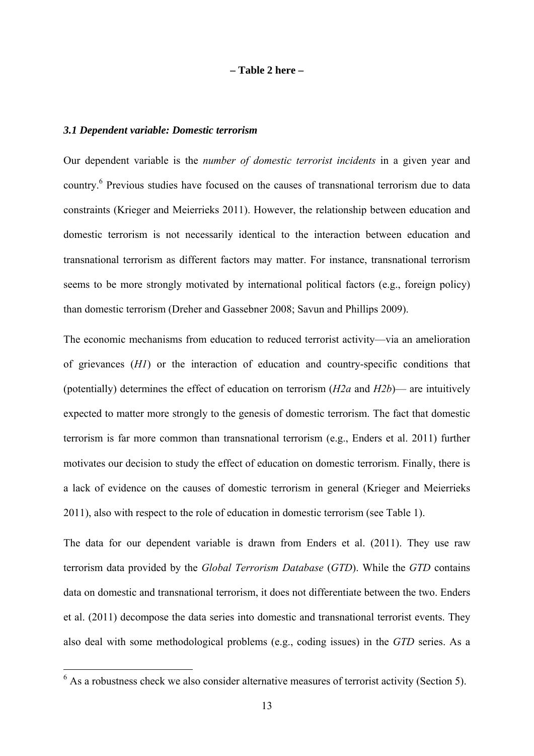**– Table 2 here –** 

### *3.1 Dependent variable: Domestic terrorism*

1

Our dependent variable is the *number of domestic terrorist incidents* in a given year and country.<sup>6</sup> Previous studies have focused on the causes of transnational terrorism due to data constraints (Krieger and Meierrieks 2011). However, the relationship between education and domestic terrorism is not necessarily identical to the interaction between education and transnational terrorism as different factors may matter. For instance, transnational terrorism seems to be more strongly motivated by international political factors (e.g., foreign policy) than domestic terrorism (Dreher and Gassebner 2008; Savun and Phillips 2009).

The economic mechanisms from education to reduced terrorist activity—via an amelioration of grievances (*H1*) or the interaction of education and country-specific conditions that (potentially) determines the effect of education on terrorism (*H2a* and *H2b*)— are intuitively expected to matter more strongly to the genesis of domestic terrorism. The fact that domestic terrorism is far more common than transnational terrorism (e.g., Enders et al. 2011) further motivates our decision to study the effect of education on domestic terrorism. Finally, there is a lack of evidence on the causes of domestic terrorism in general (Krieger and Meierrieks 2011), also with respect to the role of education in domestic terrorism (see Table 1).

The data for our dependent variable is drawn from Enders et al. (2011). They use raw terrorism data provided by the *Global Terrorism Database* (*GTD*). While the *GTD* contains data on domestic and transnational terrorism, it does not differentiate between the two. Enders et al. (2011) decompose the data series into domestic and transnational terrorist events. They also deal with some methodological problems (e.g., coding issues) in the *GTD* series. As a

 $<sup>6</sup>$  As a robustness check we also consider alternative measures of terrorist activity (Section 5).</sup>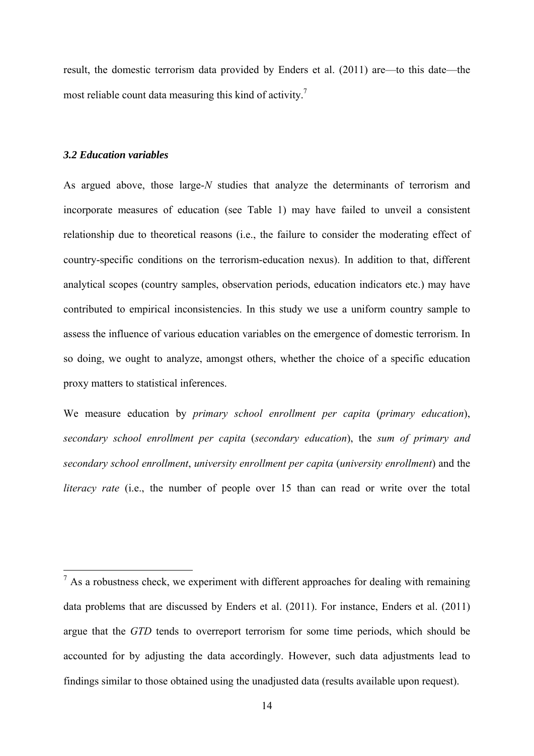result, the domestic terrorism data provided by Enders et al. (2011) are—to this date—the most reliable count data measuring this kind of activity.<sup>7</sup>

# *3.2 Education variables*

1

As argued above, those large-*N* studies that analyze the determinants of terrorism and incorporate measures of education (see Table 1) may have failed to unveil a consistent relationship due to theoretical reasons (i.e., the failure to consider the moderating effect of country-specific conditions on the terrorism-education nexus). In addition to that, different analytical scopes (country samples, observation periods, education indicators etc.) may have contributed to empirical inconsistencies. In this study we use a uniform country sample to assess the influence of various education variables on the emergence of domestic terrorism. In so doing, we ought to analyze, amongst others, whether the choice of a specific education proxy matters to statistical inferences.

We measure education by *primary school enrollment per capita* (*primary education*), *secondary school enrollment per capita* (*secondary education*), the *sum of primary and secondary school enrollment*, *university enrollment per capita* (*university enrollment*) and the *literacy rate* (i.e., the number of people over 15 than can read or write over the total

 $<sup>7</sup>$  As a robustness check, we experiment with different approaches for dealing with remaining</sup> data problems that are discussed by Enders et al. (2011). For instance, Enders et al. (2011) argue that the *GTD* tends to overreport terrorism for some time periods, which should be accounted for by adjusting the data accordingly. However, such data adjustments lead to findings similar to those obtained using the unadjusted data (results available upon request).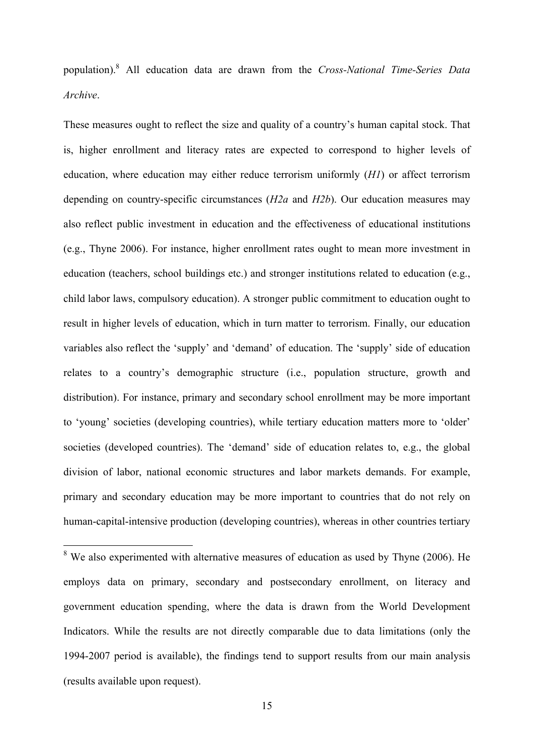population).8 All education data are drawn from the *Cross-National Time-Series Data Archive*.

These measures ought to reflect the size and quality of a country's human capital stock. That is, higher enrollment and literacy rates are expected to correspond to higher levels of education, where education may either reduce terrorism uniformly (*H1*) or affect terrorism depending on country-specific circumstances (*H2a* and *H2b*). Our education measures may also reflect public investment in education and the effectiveness of educational institutions (e.g., Thyne 2006). For instance, higher enrollment rates ought to mean more investment in education (teachers, school buildings etc.) and stronger institutions related to education (e.g., child labor laws, compulsory education). A stronger public commitment to education ought to result in higher levels of education, which in turn matter to terrorism. Finally, our education variables also reflect the 'supply' and 'demand' of education. The 'supply' side of education relates to a country's demographic structure (i.e., population structure, growth and distribution). For instance, primary and secondary school enrollment may be more important to 'young' societies (developing countries), while tertiary education matters more to 'older' societies (developed countries). The 'demand' side of education relates to, e.g., the global division of labor, national economic structures and labor markets demands. For example, primary and secondary education may be more important to countries that do not rely on human-capital-intensive production (developing countries), whereas in other countries tertiary

<sup>8</sup> We also experimented with alternative measures of education as used by Thyne (2006). He employs data on primary, secondary and postsecondary enrollment, on literacy and government education spending, where the data is drawn from the World Development Indicators. While the results are not directly comparable due to data limitations (only the 1994-2007 period is available), the findings tend to support results from our main analysis (results available upon request).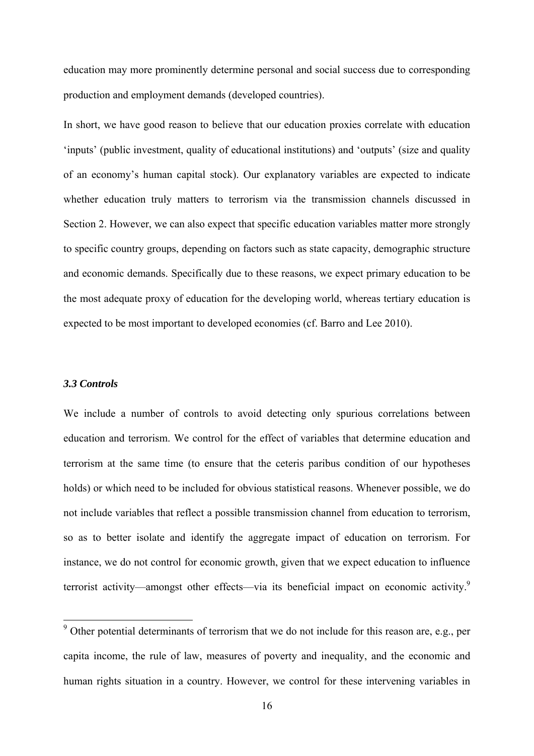education may more prominently determine personal and social success due to corresponding production and employment demands (developed countries).

In short, we have good reason to believe that our education proxies correlate with education 'inputs' (public investment, quality of educational institutions) and 'outputs' (size and quality of an economy's human capital stock). Our explanatory variables are expected to indicate whether education truly matters to terrorism via the transmission channels discussed in Section 2. However, we can also expect that specific education variables matter more strongly to specific country groups, depending on factors such as state capacity, demographic structure and economic demands. Specifically due to these reasons, we expect primary education to be the most adequate proxy of education for the developing world, whereas tertiary education is expected to be most important to developed economies (cf. Barro and Lee 2010).

#### *3.3 Controls*

We include a number of controls to avoid detecting only spurious correlations between education and terrorism. We control for the effect of variables that determine education and terrorism at the same time (to ensure that the ceteris paribus condition of our hypotheses holds) or which need to be included for obvious statistical reasons. Whenever possible, we do not include variables that reflect a possible transmission channel from education to terrorism, so as to better isolate and identify the aggregate impact of education on terrorism. For instance, we do not control for economic growth, given that we expect education to influence terrorist activity—amongst other effects—via its beneficial impact on economic activity.<sup>9</sup>

<sup>&</sup>lt;sup>9</sup> Other potential determinants of terrorism that we do not include for this reason are, e.g., per capita income, the rule of law, measures of poverty and inequality, and the economic and human rights situation in a country. However, we control for these intervening variables in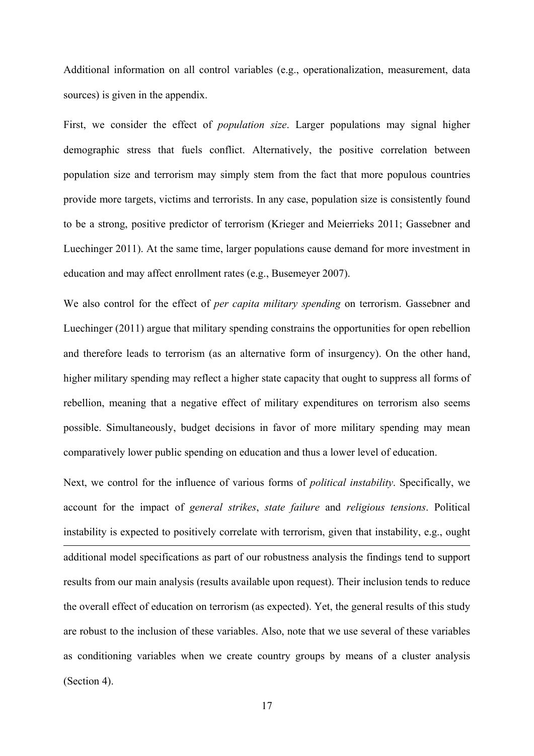Additional information on all control variables (e.g., operationalization, measurement, data sources) is given in the appendix.

First, we consider the effect of *population size*. Larger populations may signal higher demographic stress that fuels conflict. Alternatively, the positive correlation between population size and terrorism may simply stem from the fact that more populous countries provide more targets, victims and terrorists. In any case, population size is consistently found to be a strong, positive predictor of terrorism (Krieger and Meierrieks 2011; Gassebner and Luechinger 2011). At the same time, larger populations cause demand for more investment in education and may affect enrollment rates (e.g., Busemeyer 2007).

We also control for the effect of *per capita military spending* on terrorism. Gassebner and Luechinger (2011) argue that military spending constrains the opportunities for open rebellion and therefore leads to terrorism (as an alternative form of insurgency). On the other hand, higher military spending may reflect a higher state capacity that ought to suppress all forms of rebellion, meaning that a negative effect of military expenditures on terrorism also seems possible. Simultaneously, budget decisions in favor of more military spending may mean comparatively lower public spending on education and thus a lower level of education.

Next, we control for the influence of various forms of *political instability*. Specifically, we account for the impact of *general strikes*, *state failure* and *religious tensions*. Political instability is expected to positively correlate with terrorism, given that instability, e.g., ought 1 additional model specifications as part of our robustness analysis the findings tend to support results from our main analysis (results available upon request). Their inclusion tends to reduce the overall effect of education on terrorism (as expected). Yet, the general results of this study are robust to the inclusion of these variables. Also, note that we use several of these variables as conditioning variables when we create country groups by means of a cluster analysis (Section 4).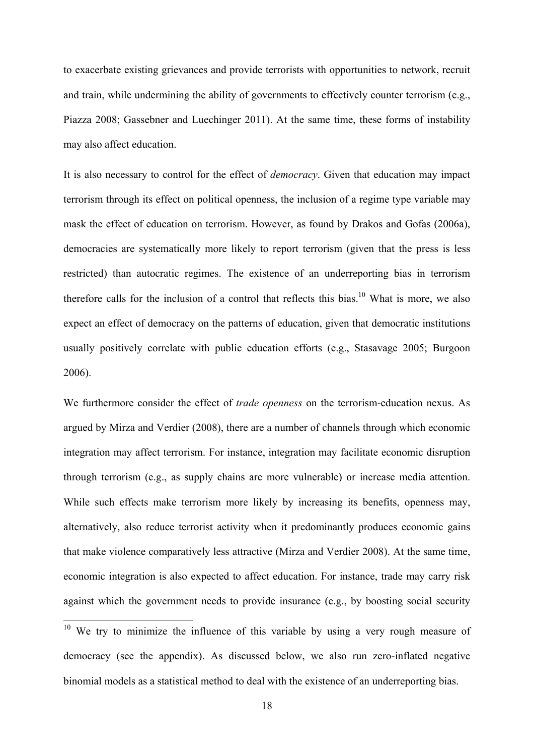to exacerbate existing grievances and provide terrorists with opportunities to network, recruit and train, while undermining the ability of governments to effectively counter terrorism (e.g., Piazza 2008; Gassebner and Luechinger 2011). At the same time, these forms of instability may also affect education.

It is also necessary to control for the effect of *democracy*. Given that education may impact terrorism through its effect on political openness, the inclusion of a regime type variable may mask the effect of education on terrorism. However, as found by Drakos and Gofas (2006a), democracies are systematically more likely to report terrorism (given that the press is less restricted) than autocratic regimes. The existence of an underreporting bias in terrorism therefore calls for the inclusion of a control that reflects this bias.<sup>10</sup> What is more, we also expect an effect of democracy on the patterns of education, given that democratic institutions usually positively correlate with public education efforts (e.g., Stasavage 2005; Burgoon 2006).

We furthermore consider the effect of *trade openness* on the terrorism-education nexus. As argued by Mirza and Verdier (2008), there are a number of channels through which economic integration may affect terrorism. For instance, integration may facilitate economic disruption through terrorism (e.g., as supply chains are more vulnerable) or increase media attention. While such effects make terrorism more likely by increasing its benefits, openness may, alternatively, also reduce terrorist activity when it predominantly produces economic gains that make violence comparatively less attractive (Mirza and Verdier 2008). At the same time, economic integration is also expected to affect education. For instance, trade may carry risk against which the government needs to provide insurance (e.g., by boosting social security

1

 $10$  We try to minimize the influence of this variable by using a very rough measure of democracy (see the appendix). As discussed below, we also run zero-inflated negative binomial models as a statistical method to deal with the existence of an underreporting bias.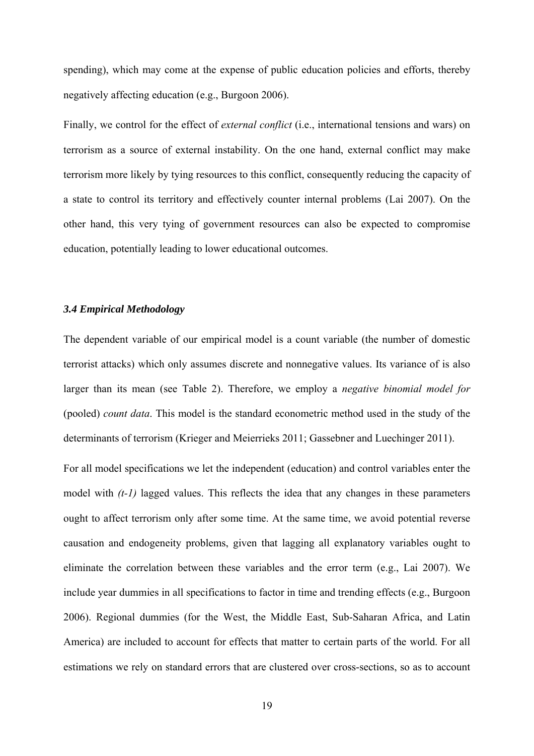spending), which may come at the expense of public education policies and efforts, thereby negatively affecting education (e.g., Burgoon 2006).

Finally, we control for the effect of *external conflict* (i.e., international tensions and wars) on terrorism as a source of external instability. On the one hand, external conflict may make terrorism more likely by tying resources to this conflict, consequently reducing the capacity of a state to control its territory and effectively counter internal problems (Lai 2007). On the other hand, this very tying of government resources can also be expected to compromise education, potentially leading to lower educational outcomes.

# *3.4 Empirical Methodology*

The dependent variable of our empirical model is a count variable (the number of domestic terrorist attacks) which only assumes discrete and nonnegative values. Its variance of is also larger than its mean (see Table 2). Therefore, we employ a *negative binomial model for*  (pooled) *count data*. This model is the standard econometric method used in the study of the determinants of terrorism (Krieger and Meierrieks 2011; Gassebner and Luechinger 2011).

For all model specifications we let the independent (education) and control variables enter the model with  $(t-1)$  lagged values. This reflects the idea that any changes in these parameters ought to affect terrorism only after some time. At the same time, we avoid potential reverse causation and endogeneity problems, given that lagging all explanatory variables ought to eliminate the correlation between these variables and the error term (e.g., Lai 2007). We include year dummies in all specifications to factor in time and trending effects (e.g., Burgoon 2006). Regional dummies (for the West, the Middle East, Sub-Saharan Africa, and Latin America) are included to account for effects that matter to certain parts of the world. For all estimations we rely on standard errors that are clustered over cross-sections, so as to account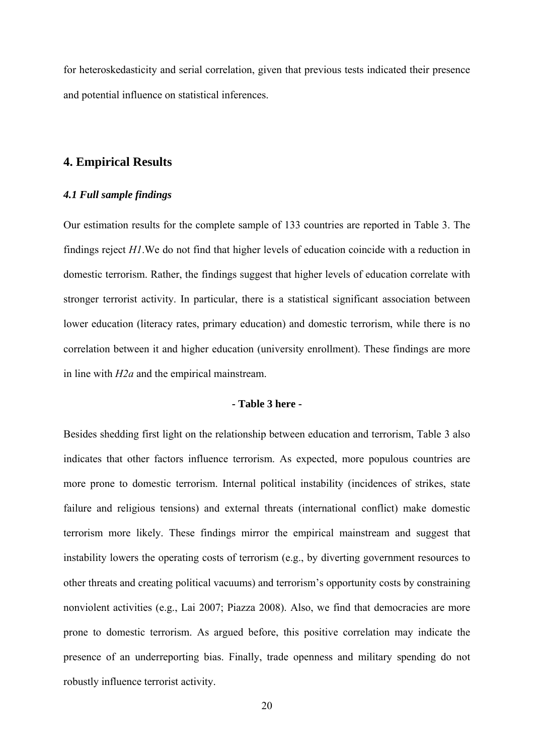for heteroskedasticity and serial correlation, given that previous tests indicated their presence and potential influence on statistical inferences.

# **4. Empirical Results**

# *4.1 Full sample findings*

Our estimation results for the complete sample of 133 countries are reported in Table 3. The findings reject *H1*.We do not find that higher levels of education coincide with a reduction in domestic terrorism. Rather, the findings suggest that higher levels of education correlate with stronger terrorist activity. In particular, there is a statistical significant association between lower education (literacy rates, primary education) and domestic terrorism, while there is no correlation between it and higher education (university enrollment). These findings are more in line with *H2a* and the empirical mainstream.

## **- Table 3 here -**

Besides shedding first light on the relationship between education and terrorism, Table 3 also indicates that other factors influence terrorism. As expected, more populous countries are more prone to domestic terrorism. Internal political instability (incidences of strikes, state failure and religious tensions) and external threats (international conflict) make domestic terrorism more likely. These findings mirror the empirical mainstream and suggest that instability lowers the operating costs of terrorism (e.g., by diverting government resources to other threats and creating political vacuums) and terrorism's opportunity costs by constraining nonviolent activities (e.g., Lai 2007; Piazza 2008). Also, we find that democracies are more prone to domestic terrorism. As argued before, this positive correlation may indicate the presence of an underreporting bias. Finally, trade openness and military spending do not robustly influence terrorist activity.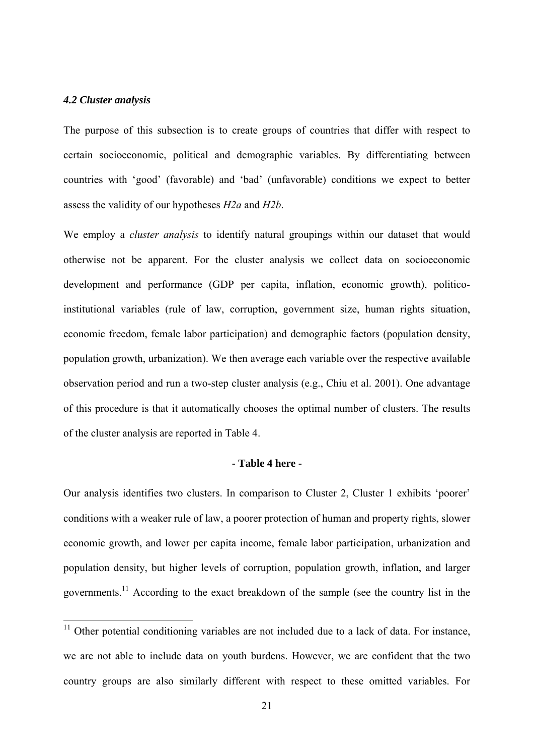# *4.2 Cluster analysis*

1

The purpose of this subsection is to create groups of countries that differ with respect to certain socioeconomic, political and demographic variables. By differentiating between countries with 'good' (favorable) and 'bad' (unfavorable) conditions we expect to better assess the validity of our hypotheses *H2a* and *H2b*.

We employ a *cluster analysis* to identify natural groupings within our dataset that would otherwise not be apparent. For the cluster analysis we collect data on socioeconomic development and performance (GDP per capita, inflation, economic growth), politicoinstitutional variables (rule of law, corruption, government size, human rights situation, economic freedom, female labor participation) and demographic factors (population density, population growth, urbanization). We then average each variable over the respective available observation period and run a two-step cluster analysis (e.g., Chiu et al. 2001). One advantage of this procedure is that it automatically chooses the optimal number of clusters. The results of the cluster analysis are reported in Table 4.

#### **- Table 4 here -**

Our analysis identifies two clusters. In comparison to Cluster 2, Cluster 1 exhibits 'poorer' conditions with a weaker rule of law, a poorer protection of human and property rights, slower economic growth, and lower per capita income, female labor participation, urbanization and population density, but higher levels of corruption, population growth, inflation, and larger governments.<sup>11</sup> According to the exact breakdown of the sample (see the country list in the

 $11$  Other potential conditioning variables are not included due to a lack of data. For instance, we are not able to include data on youth burdens. However, we are confident that the two country groups are also similarly different with respect to these omitted variables. For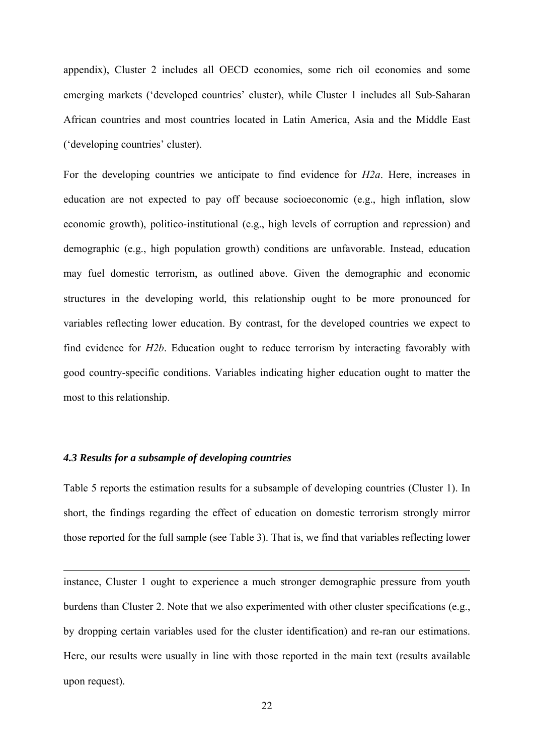appendix), Cluster 2 includes all OECD economies, some rich oil economies and some emerging markets ('developed countries' cluster), while Cluster 1 includes all Sub-Saharan African countries and most countries located in Latin America, Asia and the Middle East ('developing countries' cluster).

For the developing countries we anticipate to find evidence for *H2a*. Here, increases in education are not expected to pay off because socioeconomic (e.g., high inflation, slow economic growth), politico-institutional (e.g., high levels of corruption and repression) and demographic (e.g., high population growth) conditions are unfavorable. Instead, education may fuel domestic terrorism, as outlined above. Given the demographic and economic structures in the developing world, this relationship ought to be more pronounced for variables reflecting lower education. By contrast, for the developed countries we expect to find evidence for *H2b*. Education ought to reduce terrorism by interacting favorably with good country-specific conditions. Variables indicating higher education ought to matter the most to this relationship.

# *4.3 Results for a subsample of developing countries*

1

Table 5 reports the estimation results for a subsample of developing countries (Cluster 1). In short, the findings regarding the effect of education on domestic terrorism strongly mirror those reported for the full sample (see Table 3). That is, we find that variables reflecting lower

instance, Cluster 1 ought to experience a much stronger demographic pressure from youth burdens than Cluster 2. Note that we also experimented with other cluster specifications (e.g., by dropping certain variables used for the cluster identification) and re-ran our estimations. Here, our results were usually in line with those reported in the main text (results available upon request).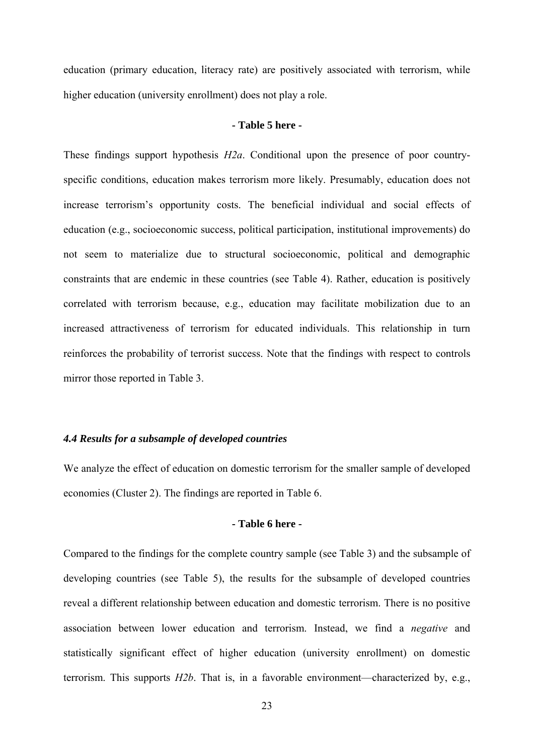education (primary education, literacy rate) are positively associated with terrorism, while higher education (university enrollment) does not play a role.

# **- Table 5 here -**

These findings support hypothesis *H2a*. Conditional upon the presence of poor countryspecific conditions, education makes terrorism more likely. Presumably, education does not increase terrorism's opportunity costs. The beneficial individual and social effects of education (e.g., socioeconomic success, political participation, institutional improvements) do not seem to materialize due to structural socioeconomic, political and demographic constraints that are endemic in these countries (see Table 4). Rather, education is positively correlated with terrorism because, e.g., education may facilitate mobilization due to an increased attractiveness of terrorism for educated individuals. This relationship in turn reinforces the probability of terrorist success. Note that the findings with respect to controls mirror those reported in Table 3.

# *4.4 Results for a subsample of developed countries*

We analyze the effect of education on domestic terrorism for the smaller sample of developed economies (Cluster 2). The findings are reported in Table 6.

# **- Table 6 here -**

Compared to the findings for the complete country sample (see Table 3) and the subsample of developing countries (see Table 5), the results for the subsample of developed countries reveal a different relationship between education and domestic terrorism. There is no positive association between lower education and terrorism. Instead, we find a *negative* and statistically significant effect of higher education (university enrollment) on domestic terrorism. This supports *H2b*. That is, in a favorable environment—characterized by, e.g.,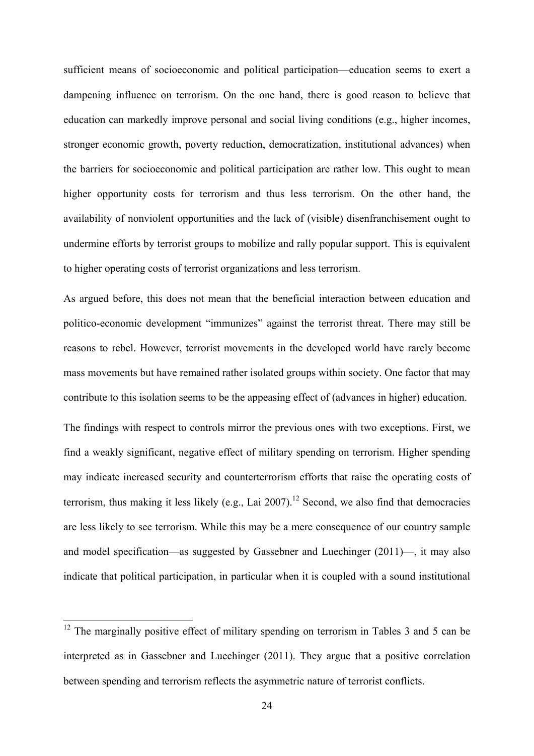sufficient means of socioeconomic and political participation—education seems to exert a dampening influence on terrorism. On the one hand, there is good reason to believe that education can markedly improve personal and social living conditions (e.g., higher incomes, stronger economic growth, poverty reduction, democratization, institutional advances) when the barriers for socioeconomic and political participation are rather low. This ought to mean higher opportunity costs for terrorism and thus less terrorism. On the other hand, the availability of nonviolent opportunities and the lack of (visible) disenfranchisement ought to undermine efforts by terrorist groups to mobilize and rally popular support. This is equivalent to higher operating costs of terrorist organizations and less terrorism.

As argued before, this does not mean that the beneficial interaction between education and politico-economic development "immunizes" against the terrorist threat. There may still be reasons to rebel. However, terrorist movements in the developed world have rarely become mass movements but have remained rather isolated groups within society. One factor that may contribute to this isolation seems to be the appeasing effect of (advances in higher) education.

The findings with respect to controls mirror the previous ones with two exceptions. First, we find a weakly significant, negative effect of military spending on terrorism. Higher spending may indicate increased security and counterterrorism efforts that raise the operating costs of terrorism, thus making it less likely (e.g., Lai 2007).<sup>12</sup> Second, we also find that democracies are less likely to see terrorism. While this may be a mere consequence of our country sample and model specification—as suggested by Gassebner and Luechinger (2011)—, it may also indicate that political participation, in particular when it is coupled with a sound institutional

1

 $12$  The marginally positive effect of military spending on terrorism in Tables 3 and 5 can be interpreted as in Gassebner and Luechinger (2011). They argue that a positive correlation between spending and terrorism reflects the asymmetric nature of terrorist conflicts.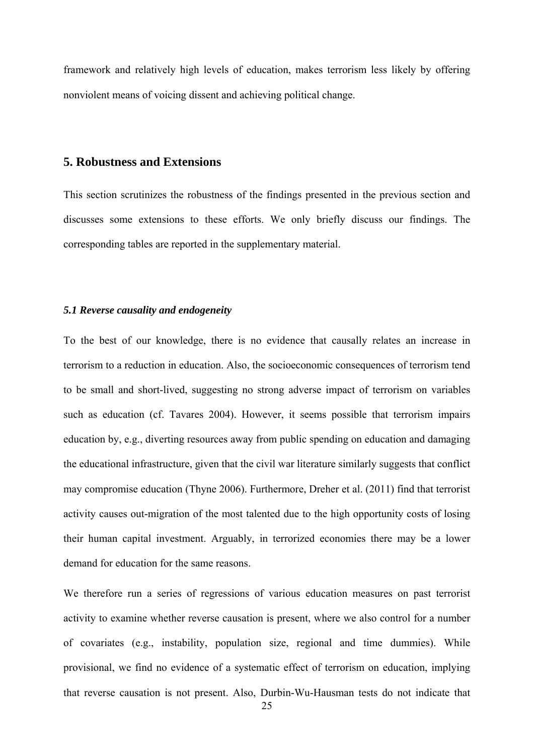framework and relatively high levels of education, makes terrorism less likely by offering nonviolent means of voicing dissent and achieving political change.

# **5. Robustness and Extensions**

This section scrutinizes the robustness of the findings presented in the previous section and discusses some extensions to these efforts. We only briefly discuss our findings. The corresponding tables are reported in the supplementary material.

# *5.1 Reverse causality and endogeneity*

To the best of our knowledge, there is no evidence that causally relates an increase in terrorism to a reduction in education. Also, the socioeconomic consequences of terrorism tend to be small and short-lived, suggesting no strong adverse impact of terrorism on variables such as education (cf. Tavares 2004). However, it seems possible that terrorism impairs education by, e.g., diverting resources away from public spending on education and damaging the educational infrastructure, given that the civil war literature similarly suggests that conflict may compromise education (Thyne 2006). Furthermore, Dreher et al. (2011) find that terrorist activity causes out-migration of the most talented due to the high opportunity costs of losing their human capital investment. Arguably, in terrorized economies there may be a lower demand for education for the same reasons.

We therefore run a series of regressions of various education measures on past terrorist activity to examine whether reverse causation is present, where we also control for a number of covariates (e.g., instability, population size, regional and time dummies). While provisional, we find no evidence of a systematic effect of terrorism on education, implying that reverse causation is not present. Also, Durbin-Wu-Hausman tests do not indicate that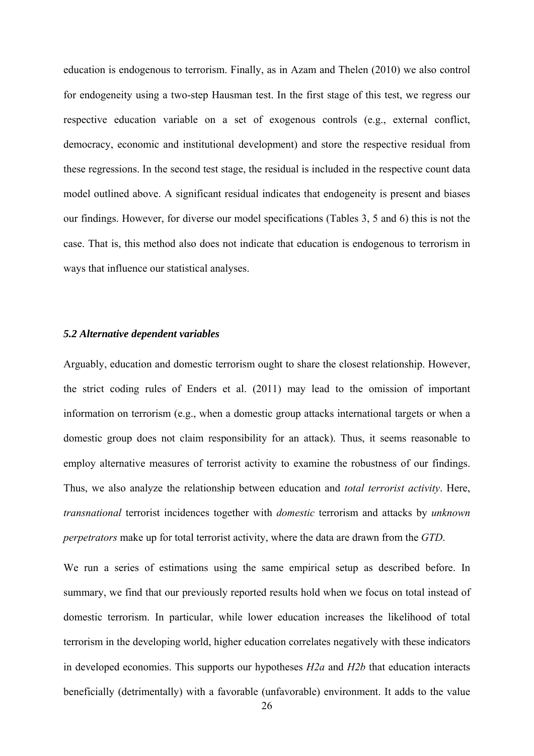education is endogenous to terrorism. Finally, as in Azam and Thelen (2010) we also control for endogeneity using a two-step Hausman test. In the first stage of this test, we regress our respective education variable on a set of exogenous controls (e.g., external conflict, democracy, economic and institutional development) and store the respective residual from these regressions. In the second test stage, the residual is included in the respective count data model outlined above. A significant residual indicates that endogeneity is present and biases our findings. However, for diverse our model specifications (Tables 3, 5 and 6) this is not the case. That is, this method also does not indicate that education is endogenous to terrorism in ways that influence our statistical analyses.

#### *5.2 Alternative dependent variables*

Arguably, education and domestic terrorism ought to share the closest relationship. However, the strict coding rules of Enders et al. (2011) may lead to the omission of important information on terrorism (e.g., when a domestic group attacks international targets or when a domestic group does not claim responsibility for an attack). Thus, it seems reasonable to employ alternative measures of terrorist activity to examine the robustness of our findings. Thus, we also analyze the relationship between education and *total terrorist activity*. Here, *transnational* terrorist incidences together with *domestic* terrorism and attacks by *unknown perpetrators* make up for total terrorist activity, where the data are drawn from the *GTD*.

We run a series of estimations using the same empirical setup as described before. In summary, we find that our previously reported results hold when we focus on total instead of domestic terrorism. In particular, while lower education increases the likelihood of total terrorism in the developing world, higher education correlates negatively with these indicators in developed economies. This supports our hypotheses *H2a* and *H2b* that education interacts beneficially (detrimentally) with a favorable (unfavorable) environment. It adds to the value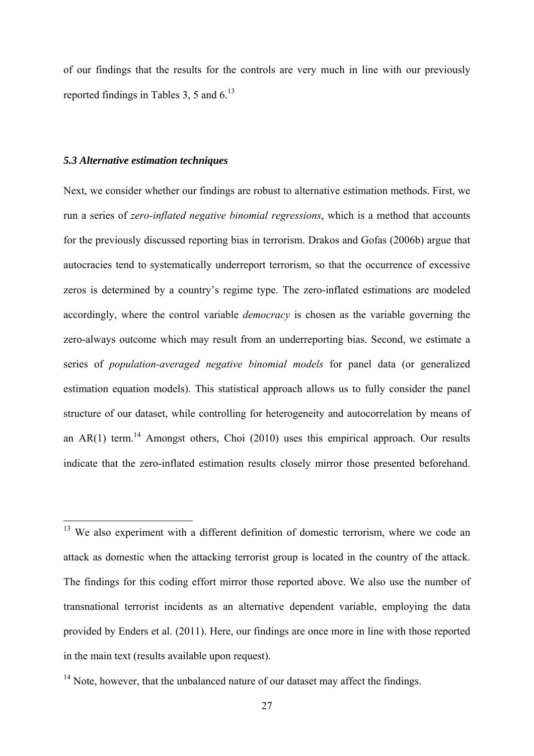of our findings that the results for the controls are very much in line with our previously reported findings in Tables 3, 5 and  $6<sup>13</sup>$ 

#### *5.3 Alternative estimation techniques*

<u>.</u>

Next, we consider whether our findings are robust to alternative estimation methods. First, we run a series of *zero-inflated negative binomial regressions*, which is a method that accounts for the previously discussed reporting bias in terrorism. Drakos and Gofas (2006b) argue that autocracies tend to systematically underreport terrorism, so that the occurrence of excessive zeros is determined by a country's regime type. The zero-inflated estimations are modeled accordingly, where the control variable *democracy* is chosen as the variable governing the zero-always outcome which may result from an underreporting bias. Second, we estimate a series of *population-averaged negative binomial models* for panel data (or generalized estimation equation models). This statistical approach allows us to fully consider the panel structure of our dataset, while controlling for heterogeneity and autocorrelation by means of an  $AR(1)$  term.<sup>14</sup> Amongst others, Choi (2010) uses this empirical approach. Our results indicate that the zero-inflated estimation results closely mirror those presented beforehand.

 $13$  We also experiment with a different definition of domestic terrorism, where we code an attack as domestic when the attacking terrorist group is located in the country of the attack. The findings for this coding effort mirror those reported above. We also use the number of transnational terrorist incidents as an alternative dependent variable, employing the data provided by Enders et al. (2011). Here, our findings are once more in line with those reported in the main text (results available upon request).

<sup>&</sup>lt;sup>14</sup> Note, however, that the unbalanced nature of our dataset may affect the findings.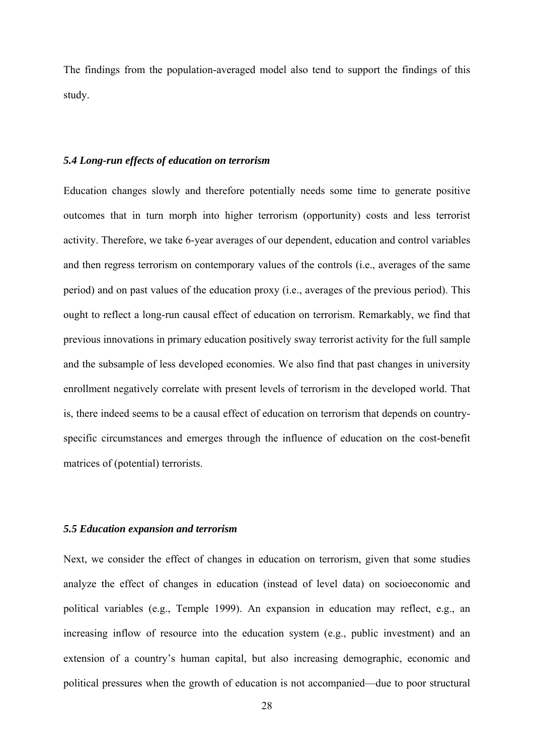The findings from the population-averaged model also tend to support the findings of this study.

## *5.4 Long-run effects of education on terrorism*

Education changes slowly and therefore potentially needs some time to generate positive outcomes that in turn morph into higher terrorism (opportunity) costs and less terrorist activity. Therefore, we take 6-year averages of our dependent, education and control variables and then regress terrorism on contemporary values of the controls (i.e., averages of the same period) and on past values of the education proxy (i.e., averages of the previous period). This ought to reflect a long-run causal effect of education on terrorism. Remarkably, we find that previous innovations in primary education positively sway terrorist activity for the full sample and the subsample of less developed economies. We also find that past changes in university enrollment negatively correlate with present levels of terrorism in the developed world. That is, there indeed seems to be a causal effect of education on terrorism that depends on countryspecific circumstances and emerges through the influence of education on the cost-benefit matrices of (potential) terrorists.

#### *5.5 Education expansion and terrorism*

Next, we consider the effect of changes in education on terrorism, given that some studies analyze the effect of changes in education (instead of level data) on socioeconomic and political variables (e.g., Temple 1999). An expansion in education may reflect, e.g., an increasing inflow of resource into the education system (e.g., public investment) and an extension of a country's human capital, but also increasing demographic, economic and political pressures when the growth of education is not accompanied—due to poor structural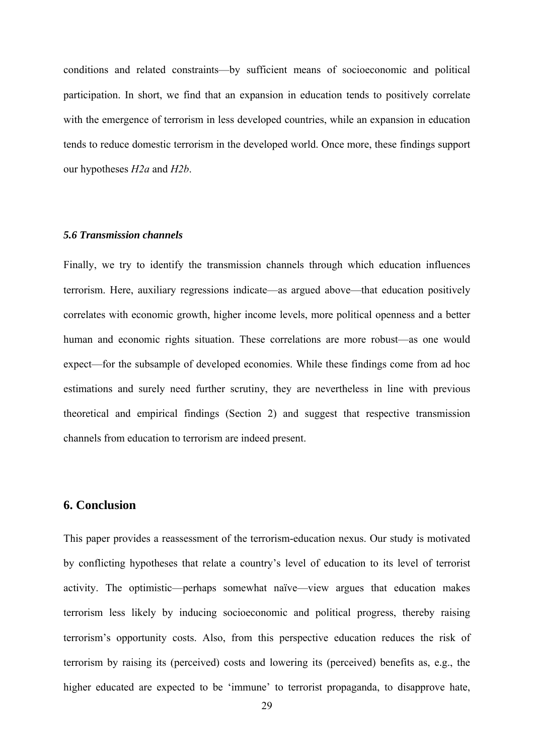conditions and related constraints—by sufficient means of socioeconomic and political participation. In short, we find that an expansion in education tends to positively correlate with the emergence of terrorism in less developed countries, while an expansion in education tends to reduce domestic terrorism in the developed world. Once more, these findings support our hypotheses *H2a* and *H2b*.

#### *5.6 Transmission channels*

Finally, we try to identify the transmission channels through which education influences terrorism. Here, auxiliary regressions indicate—as argued above—that education positively correlates with economic growth, higher income levels, more political openness and a better human and economic rights situation. These correlations are more robust—as one would expect—for the subsample of developed economies. While these findings come from ad hoc estimations and surely need further scrutiny, they are nevertheless in line with previous theoretical and empirical findings (Section 2) and suggest that respective transmission channels from education to terrorism are indeed present.

# **6. Conclusion**

This paper provides a reassessment of the terrorism-education nexus. Our study is motivated by conflicting hypotheses that relate a country's level of education to its level of terrorist activity. The optimistic—perhaps somewhat naïve—view argues that education makes terrorism less likely by inducing socioeconomic and political progress, thereby raising terrorism's opportunity costs. Also, from this perspective education reduces the risk of terrorism by raising its (perceived) costs and lowering its (perceived) benefits as, e.g., the higher educated are expected to be 'immune' to terrorist propaganda, to disapprove hate,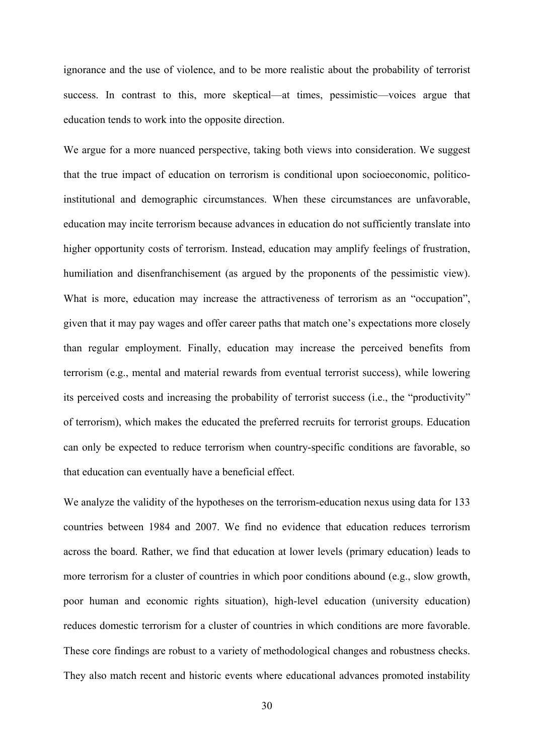ignorance and the use of violence, and to be more realistic about the probability of terrorist success. In contrast to this, more skeptical—at times, pessimistic—voices argue that education tends to work into the opposite direction.

We argue for a more nuanced perspective, taking both views into consideration. We suggest that the true impact of education on terrorism is conditional upon socioeconomic, politicoinstitutional and demographic circumstances. When these circumstances are unfavorable, education may incite terrorism because advances in education do not sufficiently translate into higher opportunity costs of terrorism. Instead, education may amplify feelings of frustration, humiliation and disenfranchisement (as argued by the proponents of the pessimistic view). What is more, education may increase the attractiveness of terrorism as an "occupation", given that it may pay wages and offer career paths that match one's expectations more closely than regular employment. Finally, education may increase the perceived benefits from terrorism (e.g., mental and material rewards from eventual terrorist success), while lowering its perceived costs and increasing the probability of terrorist success (i.e., the "productivity" of terrorism), which makes the educated the preferred recruits for terrorist groups. Education can only be expected to reduce terrorism when country-specific conditions are favorable, so that education can eventually have a beneficial effect.

We analyze the validity of the hypotheses on the terrorism-education nexus using data for 133 countries between 1984 and 2007. We find no evidence that education reduces terrorism across the board. Rather, we find that education at lower levels (primary education) leads to more terrorism for a cluster of countries in which poor conditions abound (e.g., slow growth, poor human and economic rights situation), high-level education (university education) reduces domestic terrorism for a cluster of countries in which conditions are more favorable. These core findings are robust to a variety of methodological changes and robustness checks. They also match recent and historic events where educational advances promoted instability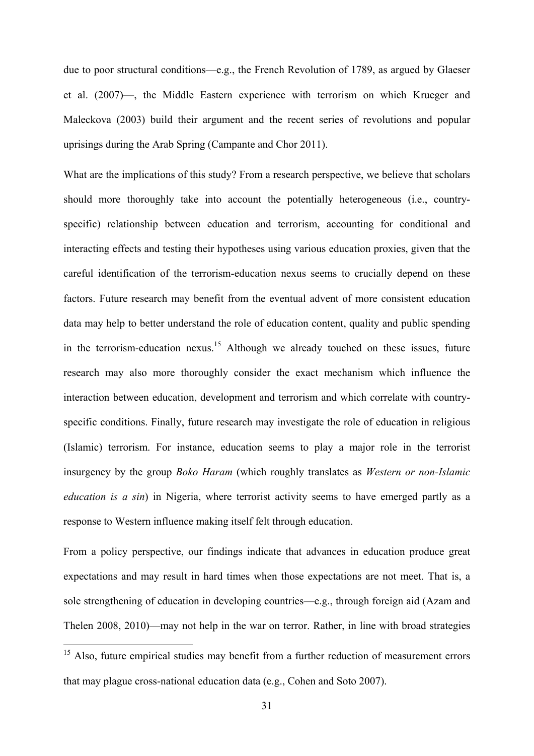due to poor structural conditions—e.g., the French Revolution of 1789, as argued by Glaeser et al. (2007)—, the Middle Eastern experience with terrorism on which Krueger and Maleckova (2003) build their argument and the recent series of revolutions and popular uprisings during the Arab Spring (Campante and Chor 2011).

What are the implications of this study? From a research perspective, we believe that scholars should more thoroughly take into account the potentially heterogeneous (i.e., countryspecific) relationship between education and terrorism, accounting for conditional and interacting effects and testing their hypotheses using various education proxies, given that the careful identification of the terrorism-education nexus seems to crucially depend on these factors. Future research may benefit from the eventual advent of more consistent education data may help to better understand the role of education content, quality and public spending in the terrorism-education nexus.<sup>15</sup> Although we already touched on these issues, future research may also more thoroughly consider the exact mechanism which influence the interaction between education, development and terrorism and which correlate with countryspecific conditions. Finally, future research may investigate the role of education in religious (Islamic) terrorism. For instance, education seems to play a major role in the terrorist insurgency by the group *Boko Haram* (which roughly translates as *Western or non-Islamic education is a sin*) in Nigeria, where terrorist activity seems to have emerged partly as a response to Western influence making itself felt through education.

From a policy perspective, our findings indicate that advances in education produce great expectations and may result in hard times when those expectations are not meet. That is, a sole strengthening of education in developing countries—e.g., through foreign aid (Azam and Thelen 2008, 2010)—may not help in the war on terror. Rather, in line with broad strategies

1

<sup>&</sup>lt;sup>15</sup> Also, future empirical studies may benefit from a further reduction of measurement errors that may plague cross-national education data (e.g., Cohen and Soto 2007).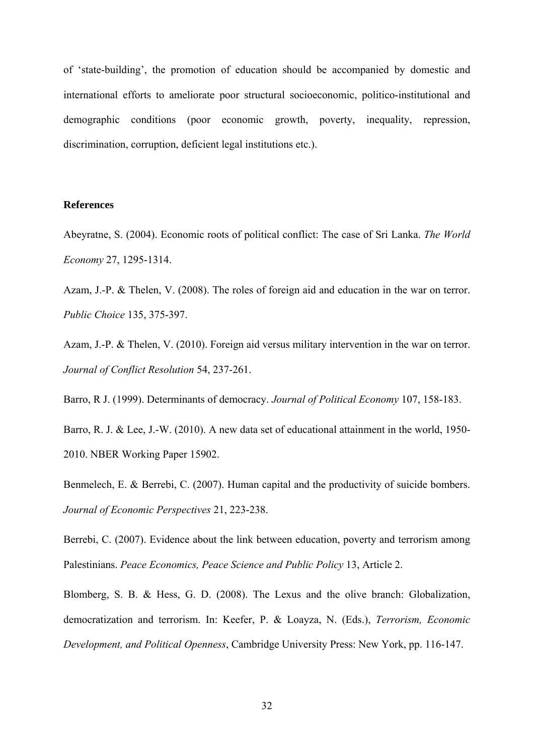of 'state-building', the promotion of education should be accompanied by domestic and international efforts to ameliorate poor structural socioeconomic, politico-institutional and demographic conditions (poor economic growth, poverty, inequality, repression, discrimination, corruption, deficient legal institutions etc.).

#### **References**

Abeyratne, S. (2004). Economic roots of political conflict: The case of Sri Lanka. *The World Economy* 27, 1295-1314.

Azam, J.-P. & Thelen, V. (2008). The roles of foreign aid and education in the war on terror. *Public Choice* 135, 375-397.

Azam, J.-P. & Thelen, V. (2010). Foreign aid versus military intervention in the war on terror. *Journal of Conflict Resolution* 54, 237-261.

Barro, R J. (1999). Determinants of democracy. *Journal of Political Economy* 107, 158-183.

Barro, R. J. & Lee, J.-W. (2010). A new data set of educational attainment in the world, 1950- 2010. NBER Working Paper 15902.

Benmelech, E. & Berrebi, C. (2007). Human capital and the productivity of suicide bombers. *Journal of Economic Perspectives* 21, 223-238.

Berrebi, C. (2007). Evidence about the link between education, poverty and terrorism among Palestinians. *Peace Economics, Peace Science and Public Policy* 13, Article 2.

Blomberg, S. B. & Hess, G. D. (2008). The Lexus and the olive branch: Globalization, democratization and terrorism. In: Keefer, P. & Loayza, N. (Eds.), *Terrorism, Economic Development, and Political Openness*, Cambridge University Press: New York, pp. 116-147.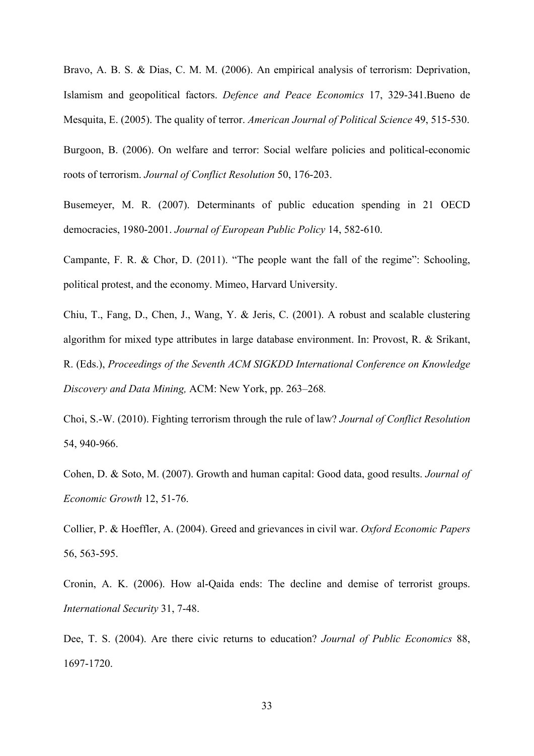Bravo, A. B. S. & Dias, C. M. M. (2006). An empirical analysis of terrorism: Deprivation, Islamism and geopolitical factors. *Defence and Peace Economics* 17, 329-341.Bueno de Mesquita, E. (2005). The quality of terror. *American Journal of Political Science* 49, 515-530.

Burgoon, B. (2006). On welfare and terror: Social welfare policies and political-economic roots of terrorism. *Journal of Conflict Resolution* 50, 176-203.

Busemeyer, M. R. (2007). Determinants of public education spending in 21 OECD democracies, 1980-2001. *Journal of European Public Policy* 14, 582-610.

Campante, F. R. & Chor, D. (2011). "The people want the fall of the regime": Schooling, political protest, and the economy. Mimeo, Harvard University.

Chiu, T., Fang, D., Chen, J., Wang, Y. & Jeris, C. (2001). A robust and scalable clustering algorithm for mixed type attributes in large database environment. In: Provost, R. & Srikant, R. (Eds.), *Proceedings of the Seventh ACM SIGKDD International Conference on Knowledge Discovery and Data Mining,* ACM: New York, pp. 263–268*.*

Choi, S.-W. (2010). Fighting terrorism through the rule of law? *Journal of Conflict Resolution*  54, 940-966.

Cohen, D. & Soto, M. (2007). Growth and human capital: Good data, good results. *Journal of Economic Growth* 12, 51-76.

Collier, P. & Hoeffler, A. (2004). Greed and grievances in civil war. *Oxford Economic Papers* 56, 563-595.

Cronin, A. K. (2006). How al-Qaida ends: The decline and demise of terrorist groups. *International Security* 31, 7-48.

Dee, T. S. (2004). Are there civic returns to education? *Journal of Public Economics* 88, 1697-1720.

33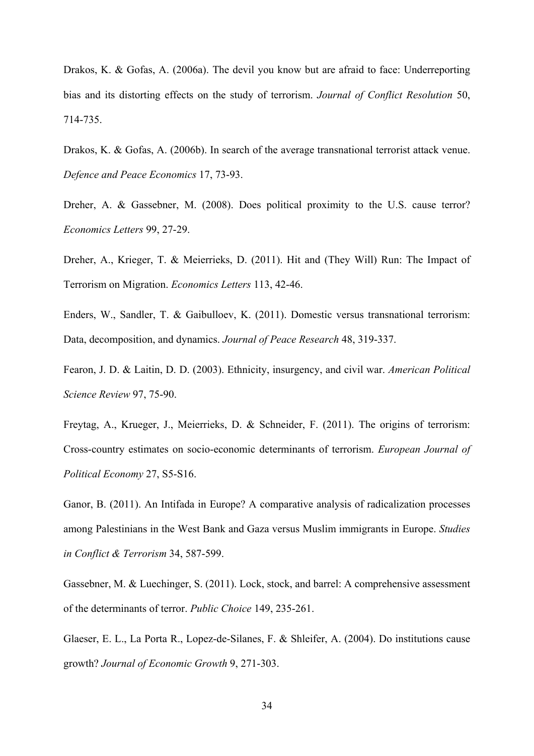Drakos, K. & Gofas, A. (2006a). The devil you know but are afraid to face: Underreporting bias and its distorting effects on the study of terrorism. *Journal of Conflict Resolution* 50, 714-735.

Drakos, K. & Gofas, A. (2006b). In search of the average transnational terrorist attack venue. *Defence and Peace Economics* 17, 73-93.

Dreher, A. & Gassebner, M. (2008). Does political proximity to the U.S. cause terror? *Economics Letters* 99, 27-29.

Dreher, A., Krieger, T. & Meierrieks, D. (2011). Hit and (They Will) Run: The Impact of Terrorism on Migration. *Economics Letters* 113, 42-46.

Enders, W., Sandler, T. & Gaibulloev, K. (2011). Domestic versus transnational terrorism: Data, decomposition, and dynamics. *Journal of Peace Research* 48, 319-337.

Fearon, J. D. & Laitin, D. D. (2003). Ethnicity, insurgency, and civil war. *American Political Science Review* 97, 75-90.

Freytag, A., Krueger, J., Meierrieks, D. & Schneider, F. (2011). The origins of terrorism: Cross-country estimates on socio-economic determinants of terrorism. *European Journal of Political Economy* 27, S5-S16.

Ganor, B. (2011). An Intifada in Europe? A comparative analysis of radicalization processes among Palestinians in the West Bank and Gaza versus Muslim immigrants in Europe. *Studies in Conflict & Terrorism* 34, 587-599.

Gassebner, M. & Luechinger, S. (2011). Lock, stock, and barrel: A comprehensive assessment of the determinants of terror. *Public Choice* 149, 235-261.

Glaeser, E. L., La Porta R., Lopez-de-Silanes, F. & Shleifer, A. (2004). Do institutions cause growth? *Journal of Economic Growth* 9, 271-303.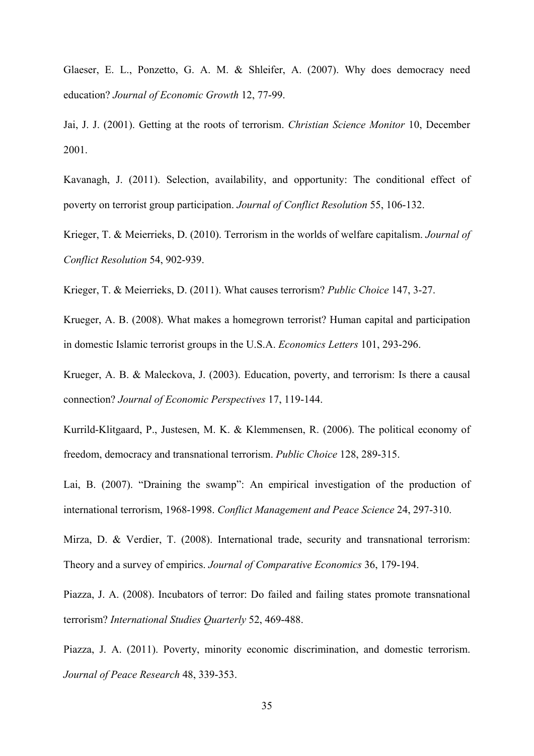Glaeser, E. L., Ponzetto, G. A. M. & Shleifer, A. (2007). Why does democracy need education? *Journal of Economic Growth* 12, 77-99.

Jai, J. J. (2001). Getting at the roots of terrorism. *Christian Science Monitor* 10, December 2001.

Kavanagh, J. (2011). Selection, availability, and opportunity: The conditional effect of poverty on terrorist group participation. *Journal of Conflict Resolution* 55, 106-132.

Krieger, T. & Meierrieks, D. (2010). Terrorism in the worlds of welfare capitalism. *Journal of Conflict Resolution* 54, 902-939.

Krieger, T. & Meierrieks, D. (2011). What causes terrorism? *Public Choice* 147, 3-27.

Krueger, A. B. (2008). What makes a homegrown terrorist? Human capital and participation in domestic Islamic terrorist groups in the U.S.A. *Economics Letters* 101, 293-296.

Krueger, A. B. & Maleckova, J. (2003). Education, poverty, and terrorism: Is there a causal connection? *Journal of Economic Perspectives* 17, 119-144.

Kurrild-Klitgaard, P., Justesen, M. K. & Klemmensen, R. (2006). The political economy of freedom, democracy and transnational terrorism. *Public Choice* 128, 289-315.

Lai, B. (2007). "Draining the swamp": An empirical investigation of the production of international terrorism, 1968-1998. *Conflict Management and Peace Science* 24, 297-310.

Mirza, D. & Verdier, T. (2008). International trade, security and transnational terrorism: Theory and a survey of empirics. *Journal of Comparative Economics* 36, 179-194.

Piazza, J. A. (2008). Incubators of terror: Do failed and failing states promote transnational terrorism? *International Studies Quarterly* 52, 469-488.

Piazza, J. A. (2011). Poverty, minority economic discrimination, and domestic terrorism. *Journal of Peace Research* 48, 339-353.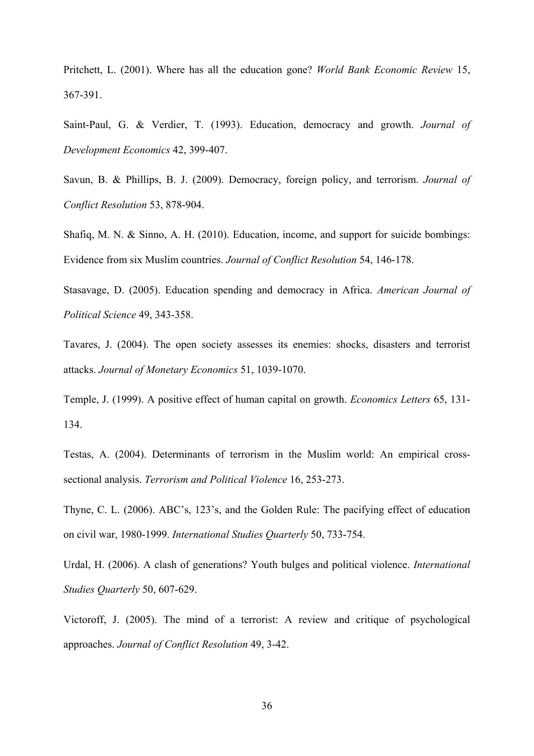Pritchett, L. (2001). Where has all the education gone? *World Bank Economic Review* 15, 367-391.

Saint-Paul, G. & Verdier, T. (1993). Education, democracy and growth. *Journal of Development Economics* 42, 399-407.

Savun, B. & Phillips, B. J. (2009). Democracy, foreign policy, and terrorism. *Journal of Conflict Resolution* 53, 878-904.

Shafiq, M. N. & Sinno, A. H. (2010). Education, income, and support for suicide bombings: Evidence from six Muslim countries. *Journal of Conflict Resolution* 54, 146-178.

Stasavage, D. (2005). Education spending and democracy in Africa. *American Journal of Political Science* 49, 343-358.

Tavares, J. (2004). The open society assesses its enemies: shocks, disasters and terrorist attacks. *Journal of Monetary Economics* 51, 1039-1070.

Temple, J. (1999). A positive effect of human capital on growth. *Economics Letters* 65, 131- 134.

Testas, A. (2004). Determinants of terrorism in the Muslim world: An empirical crosssectional analysis. *Terrorism and Political Violence* 16, 253-273.

Thyne, C. L. (2006). ABC's, 123's, and the Golden Rule: The pacifying effect of education on civil war, 1980-1999. *International Studies Quarterly* 50, 733-754.

Urdal, H. (2006). A clash of generations? Youth bulges and political violence. *International Studies Quarterly* 50, 607-629.

Victoroff, J. (2005). The mind of a terrorist: A review and critique of psychological approaches. *Journal of Conflict Resolution* 49, 3-42.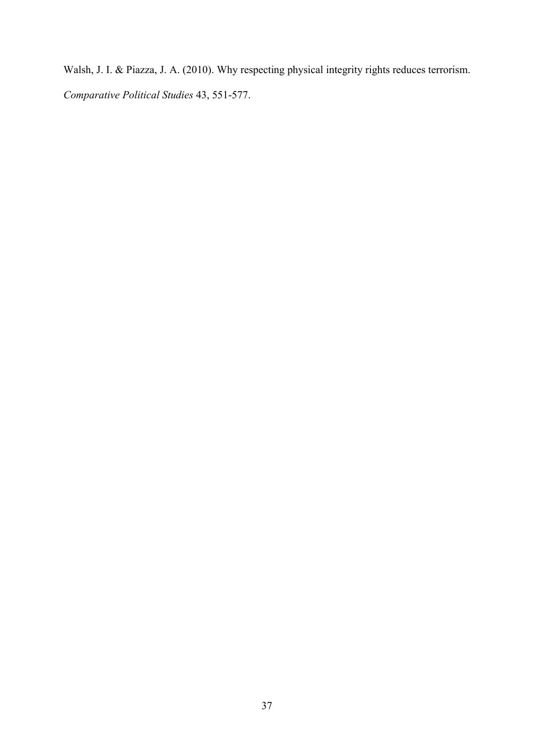Walsh, J. I. & Piazza, J. A. (2010). Why respecting physical integrity rights reduces terrorism. *Comparative Political Studies* 43, 551-577.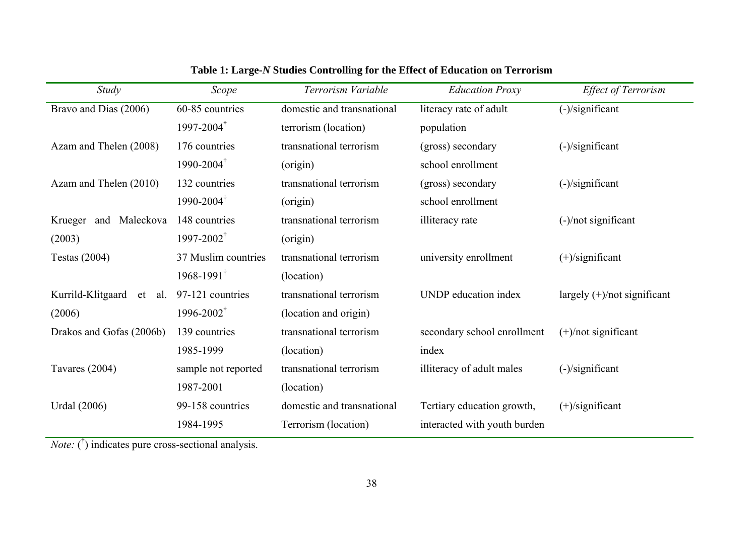| Study                       | Scope                   | Terrorism Variable         | <b>Education Proxy</b>       | <b>Effect of Terrorism</b>     |
|-----------------------------|-------------------------|----------------------------|------------------------------|--------------------------------|
| Bravo and Dias (2006)       | 60-85 countries         | domestic and transnational | literacy rate of adult       | $(-)/$ significant             |
|                             | $1997 - 2004^{\dagger}$ | terrorism (location)       | population                   |                                |
| Azam and Thelen (2008)      | 176 countries           | transnational terrorism    | (gross) secondary            | $(-)/$ significant             |
|                             | $1990 - 2004^{\dagger}$ | (origin)                   | school enrollment            |                                |
| Azam and Thelen (2010)      | 132 countries           | transnational terrorism    | (gross) secondary            | $(-)/$ significant             |
|                             | $1990 - 2004^{\dagger}$ | (origin)                   | school enrollment            |                                |
| and Maleckova<br>Krueger    | 148 countries           | transnational terrorism    | illiteracy rate              | $(-)/$ not significant         |
| (2003)                      | $1997 - 2002^{\dagger}$ | (origin)                   |                              |                                |
| <b>Testas (2004)</b>        | 37 Muslim countries     | transnational terrorism    | university enrollment        | $(+)/$ significant             |
|                             | $1968 - 1991^{\dagger}$ | (location)                 |                              |                                |
| Kurrild-Klitgaard<br>et al. | 97-121 countries        | transnational terrorism    | <b>UNDP</b> education index  | largely $(+)/$ not significant |
| (2006)                      | $1996 - 2002^{\dagger}$ | (location and origin)      |                              |                                |
| Drakos and Gofas (2006b)    | 139 countries           | transnational terrorism    | secondary school enrollment  | $(+)/$ not significant         |
|                             | 1985-1999               | (location)                 | index                        |                                |
| Tavares (2004)              | sample not reported     | transnational terrorism    | illiteracy of adult males    | $(-)/$ significant             |
|                             | 1987-2001               | (location)                 |                              |                                |
| <b>Urdal</b> (2006)         | 99-158 countries        | domestic and transnational | Tertiary education growth,   | $(+)/$ significant             |
|                             | 1984-1995               | Terrorism (location)       | interacted with youth burden |                                |

**Table 1: Large-***N* **Studies Controlling for the Effect of Education on Terrorism** 

*Note:* (<sup>†</sup>) indicates pure cross-sectional analysis.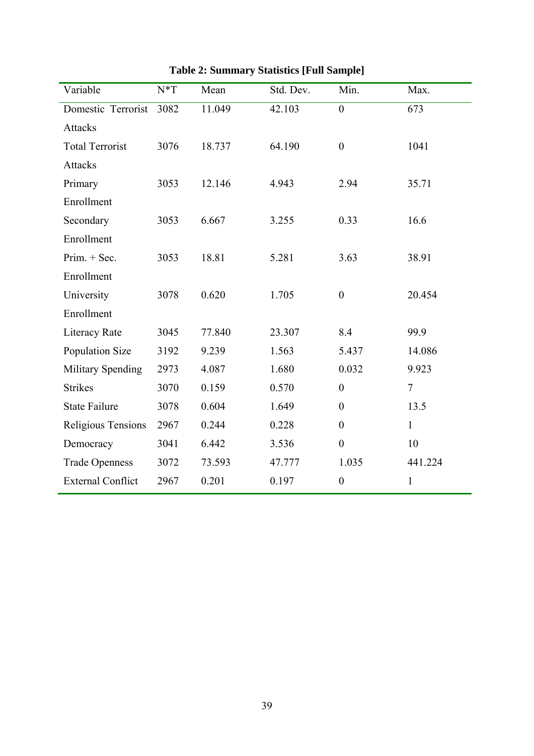| Variable                 | $N^*T$ | Mean   | Std. Dev. | Min.             | Max.           |
|--------------------------|--------|--------|-----------|------------------|----------------|
| Domestic Terrorist       | 3082   | 11.049 | 42.103    | $\boldsymbol{0}$ | 673            |
| <b>Attacks</b>           |        |        |           |                  |                |
| <b>Total Terrorist</b>   | 3076   | 18.737 | 64.190    | $\boldsymbol{0}$ | 1041           |
| <b>Attacks</b>           |        |        |           |                  |                |
| Primary                  | 3053   | 12.146 | 4.943     | 2.94             | 35.71          |
| Enrollment               |        |        |           |                  |                |
| Secondary                | 3053   | 6.667  | 3.255     | 0.33             | 16.6           |
| Enrollment               |        |        |           |                  |                |
| $Prim. + Sec.$           | 3053   | 18.81  | 5.281     | 3.63             | 38.91          |
| Enrollment               |        |        |           |                  |                |
| University               | 3078   | 0.620  | 1.705     | $\boldsymbol{0}$ | 20.454         |
| Enrollment               |        |        |           |                  |                |
| Literacy Rate            | 3045   | 77.840 | 23.307    | 8.4              | 99.9           |
| Population Size          | 3192   | 9.239  | 1.563     | 5.437            | 14.086         |
| <b>Military Spending</b> | 2973   | 4.087  | 1.680     | 0.032            | 9.923          |
| <b>Strikes</b>           | 3070   | 0.159  | 0.570     | $\mathbf{0}$     | $\overline{7}$ |
| <b>State Failure</b>     | 3078   | 0.604  | 1.649     | $\boldsymbol{0}$ | 13.5           |
| Religious Tensions       | 2967   | 0.244  | 0.228     | $\boldsymbol{0}$ | $\mathbf{1}$   |
| Democracy                | 3041   | 6.442  | 3.536     | $\boldsymbol{0}$ | 10             |
| <b>Trade Openness</b>    | 3072   | 73.593 | 47.777    | 1.035            | 441.224        |
| <b>External Conflict</b> | 2967   | 0.201  | 0.197     | $\boldsymbol{0}$ | $\mathbf{1}$   |

**Table 2: Summary Statistics [Full Sample]**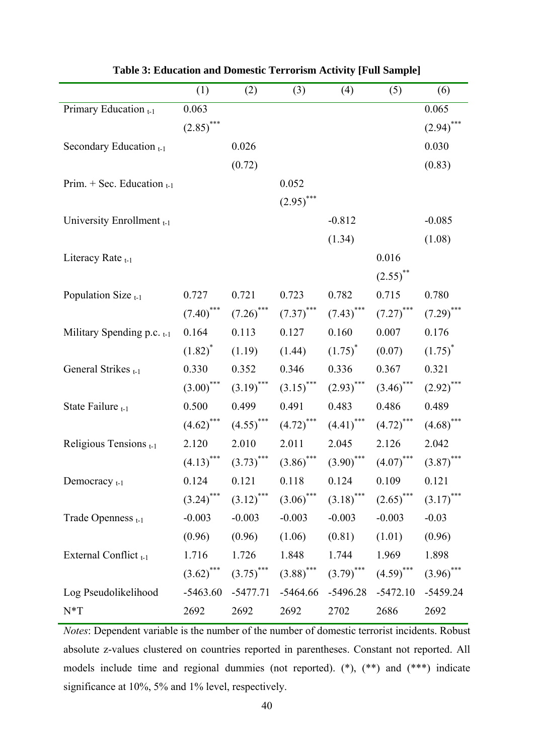|                                   | (1)                     | (2)                     | (3)                     | (4)                     | (5)          | (6)          |
|-----------------------------------|-------------------------|-------------------------|-------------------------|-------------------------|--------------|--------------|
| Primary Education t-1             | 0.063                   |                         |                         |                         |              | 0.065        |
|                                   | $(2.85)$ ***            |                         |                         |                         |              | $(2.94)$ *** |
| Secondary Education $_{t-1}$      |                         | 0.026                   |                         |                         |              | 0.030        |
|                                   |                         | (0.72)                  |                         |                         |              | (0.83)       |
| Prim. + Sec. Education $_{t-1}$   |                         |                         | 0.052                   |                         |              |              |
|                                   |                         |                         | $(2.95)$ ***            |                         |              |              |
| University Enrollment t-1         |                         |                         |                         | $-0.812$                |              | $-0.085$     |
|                                   |                         |                         |                         | (1.34)                  |              | (1.08)       |
| Literacy Rate $_{t-1}$            |                         |                         |                         |                         | 0.016        |              |
|                                   |                         |                         |                         |                         | $(2.55)$ **  |              |
| Population Size $_{t-1}$          | 0.727                   | 0.721                   | 0.723                   | 0.782                   | 0.715        | 0.780        |
|                                   | $(7.40)$ ***            | $(7.26)$ ***            | $(7.37)$ ***            | $(7.43)$ ***            | $(7.27)$ *** | $(7.29)$ *** |
| Military Spending p.c. $_{t-1}$   | 0.164                   | 0.113                   | 0.127                   | 0.160                   | 0.007        | 0.176        |
|                                   | $(1.82)^{*}$            | (1.19)                  | (1.44)                  | $(1.75)^{*}$            | (0.07)       | $(1.75)^*$   |
| General Strikes <sub>t-1</sub>    | 0.330                   | 0.352                   | 0.346                   | 0.336                   | 0.367        | 0.321        |
|                                   | $(3.00)$ ***            | $(3.19)$ ***            | $(3.15)$ ***            | $(2.93)$ ***            | $(3.46)$ *** | $(2.92)$ *** |
| State Failure $t-1$               | 0.500                   | 0.499                   | 0.491                   | 0.483                   | 0.486        | 0.489        |
|                                   | $(4.62)$ ***            | $(4.55)$ ***            | $(4.72)$ ***            | $(4.41)$ ***            | $(4.72)$ *** | $(4.68)$ *** |
| Religious Tensions <sub>t-1</sub> | 2.120                   | 2.010                   | 2.011                   | 2.045                   | 2.126        | 2.042        |
|                                   | $(4.13)$ ***            | $(3.73)$ ***            | $(3.86)$ ***            | $(3.90)$ ***            | $(4.07)$ *** | $(3.87)$ *** |
| Democracy $_{t-1}$                | 0.124                   | 0.121                   | 0.118                   | 0.124                   | 0.109        | 0.121        |
|                                   | $(3.24)$ ***            | $(3.12)$ ***            | $(3.06)$ ***            | $(3.18)$ ***            | $(2.65)$ *** | $(3.17)$ *** |
| Trade Openness <sub>t-1</sub>     | $-0.003$                | $-0.003$                | $-0.003$                | $-0.003$                | $-0.003$     | $-0.03$      |
|                                   | (0.96)                  | (0.96)                  | (1.06)                  | (0.81)                  | (1.01)       | (0.96)       |
| External Conflict <sub>t-1</sub>  | 1.716                   | 1.726                   | 1.848                   | 1.744                   | 1.969        | 1.898        |
|                                   | $(3.62)$ <sup>***</sup> | $(3.75)$ <sup>***</sup> | $(3.88)$ <sup>***</sup> | $(3.79)$ <sup>***</sup> | $(4.59)$ *** | $(3.96)$ *** |
| Log Pseudolikelihood              | $-5463.60$              | $-5477.71$              | $-5464.66$              | $-5496.28$              | $-5472.10$   | $-5459.24$   |
| $N^*T$                            | 2692                    | 2692                    | 2692                    | 2702                    | 2686         | 2692         |

**Table 3: Education and Domestic Terrorism Activity [Full Sample]** 

*Notes*: Dependent variable is the number of the number of domestic terrorist incidents. Robust absolute z-values clustered on countries reported in parentheses. Constant not reported. All models include time and regional dummies (not reported). (\*), (\*\*) and (\*\*\*) indicate significance at 10%, 5% and 1% level, respectively.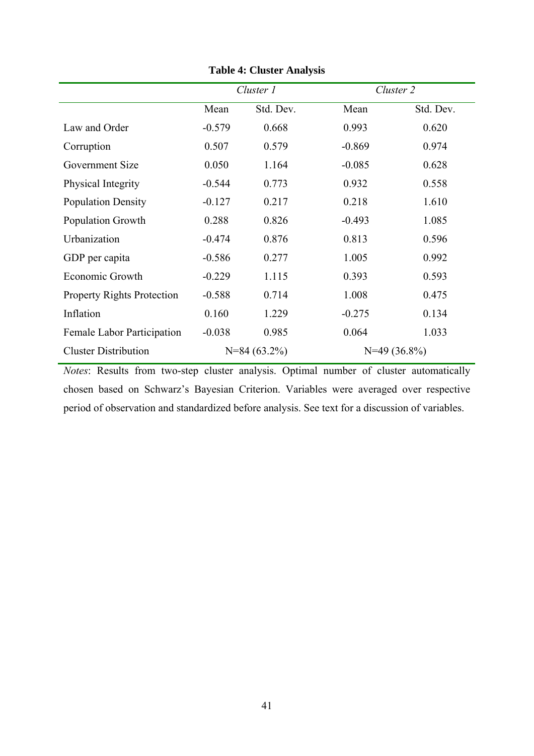|                                   |          | Cluster 1      | Cluster 2 |                |
|-----------------------------------|----------|----------------|-----------|----------------|
|                                   | Mean     | Std. Dev.      | Mean      | Std. Dev.      |
| Law and Order                     | $-0.579$ | 0.668          | 0.993     | 0.620          |
| Corruption                        | 0.507    | 0.579          | $-0.869$  | 0.974          |
| Government Size                   | 0.050    | 1.164          | $-0.085$  | 0.628          |
| Physical Integrity                | $-0.544$ | 0.773          | 0.932     | 0.558          |
| <b>Population Density</b>         | $-0.127$ | 0.217          | 0.218     | 1.610          |
| Population Growth                 | 0.288    | 0.826          | $-0.493$  | 1.085          |
| Urbanization                      | $-0.474$ | 0.876          | 0.813     | 0.596          |
| GDP per capita                    | $-0.586$ | 0.277          | 1.005     | 0.992          |
| Economic Growth                   | $-0.229$ | 1.115          | 0.393     | 0.593          |
| <b>Property Rights Protection</b> | $-0.588$ | 0.714          | 1.008     | 0.475          |
| Inflation                         | 0.160    | 1.229          | $-0.275$  | 0.134          |
| Female Labor Participation        | $-0.038$ | 0.985          | 0.064     | 1.033          |
| <b>Cluster Distribution</b>       |          | $N=84(63.2\%)$ |           | $N=49(36.8\%)$ |

**Table 4: Cluster Analysis**

*Notes*: Results from two-step cluster analysis. Optimal number of cluster automatically chosen based on Schwarz's Bayesian Criterion. Variables were averaged over respective period of observation and standardized before analysis. See text for a discussion of variables.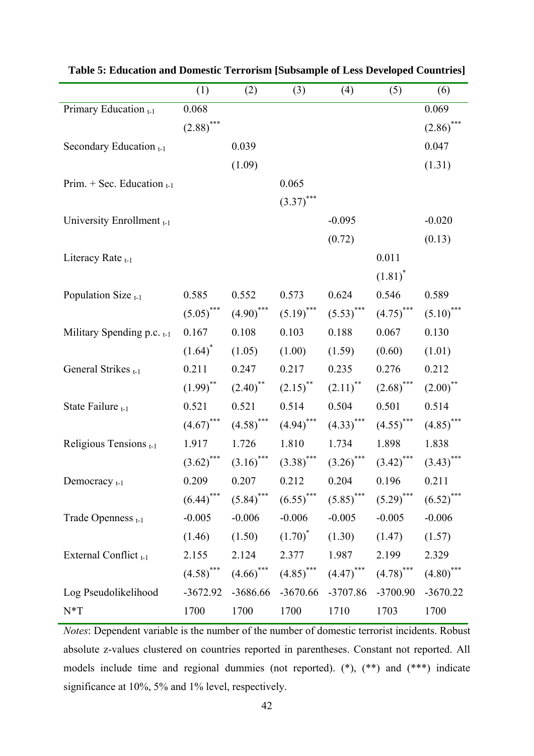|                                 | (1)                     | (2)                     | (3)                     | (4)                     | (5)          | (6)          |
|---------------------------------|-------------------------|-------------------------|-------------------------|-------------------------|--------------|--------------|
| Primary Education t-1           | 0.068                   |                         |                         |                         |              | 0.069        |
|                                 | $(2.88)$ ***            |                         |                         |                         |              | $(2.86)$ *** |
| Secondary Education $_{t-1}$    |                         | 0.039                   |                         |                         |              | 0.047        |
|                                 |                         | (1.09)                  |                         |                         |              | (1.31)       |
| Prim. + Sec. Education $_{t-1}$ |                         |                         | 0.065                   |                         |              |              |
|                                 |                         |                         | $(3.37)$ ***            |                         |              |              |
| University Enrollment t-1       |                         |                         |                         | $-0.095$                |              | $-0.020$     |
|                                 |                         |                         |                         | (0.72)                  |              | (0.13)       |
| Literacy Rate <sub>t-1</sub>    |                         |                         |                         |                         | 0.011        |              |
|                                 |                         |                         |                         |                         | $(1.81)^*$   |              |
| Population Size $_{t-1}$        | 0.585                   | 0.552                   | 0.573                   | 0.624                   | 0.546        | 0.589        |
|                                 | $(5.05)$ ***            | $(4.90)$ ***            | $(5.19)$ ***            | $(5.53)$ ***            | $(4.75)$ *** | $(5.10)$ *** |
| Military Spending p.c. $_{t-1}$ | 0.167                   | 0.108                   | 0.103                   | 0.188                   | 0.067        | 0.130        |
|                                 | $(1.64)^*$              | (1.05)                  | (1.00)                  | (1.59)                  | (0.60)       | (1.01)       |
| General Strikes <sub>t-1</sub>  | 0.211                   | 0.247                   | 0.217                   | 0.235                   | 0.276        | 0.212        |
|                                 | $(1.99)$ <sup>**</sup>  | $(2.40)$ <sup>**</sup>  | $(2.15)$ <sup>**</sup>  | $(2.11)$ <sup>**</sup>  | $(2.68)$ *** | $(2.00)$ **  |
| State Failure $t-1$             | 0.521                   | 0.521                   | 0.514                   | 0.504                   | 0.501        | 0.514        |
|                                 | $(4.67)$ ***            | $(4.58)$ <sup>***</sup> | $(4.94)$ ***            | $(4.33)$ ***            | $(4.55)$ *** | $(4.85)$ *** |
| Religious Tensions t-1          | 1.917                   | 1.726                   | 1.810                   | 1.734                   | 1.898        | 1.838        |
|                                 | $(3.62)$ ***            | $(3.16)$ <sup>***</sup> | $(3.38)$ ***            | $(3.26)$ ***            | $(3.42)$ *** | $(3.43)$ *** |
| Democracy $_{t-1}$              | 0.209                   | 0.207                   | 0.212                   | 0.204                   | 0.196        | 0.211        |
|                                 | $(6.44)$ <sup>***</sup> | $(5.84)$ ***            | $(6.55)$ <sup>***</sup> | $(5.85)$ ***            | $(5.29)$ *** | $(6.52)$ *** |
| Trade Openness <sub>t-1</sub>   | $-0.005$                | $-0.006$                | $-0.006$                | $-0.005$                | $-0.005$     | $-0.006$     |
|                                 | (1.46)                  | (1.50)                  | $(1.70)^*$              | (1.30)                  | (1.47)       | (1.57)       |
| External Conflict t-1           | 2.155                   | 2.124                   | 2.377                   | 1.987                   | 2.199        | 2.329        |
|                                 | $(4.58)$ <sup>***</sup> | $(4.66)$ <sup>***</sup> | $(4.85)$ <sup>***</sup> | $(4.47)$ <sup>***</sup> | $(4.78)$ *** | $(4.80)$ *** |
| Log Pseudolikelihood            | $-3672.92$              | $-3686.66$              | $-3670.66$              | -3707.86                | $-3700.90$   | $-3670.22$   |
| $N^*T$                          | 1700                    | 1700                    | 1700                    | 1710                    | 1703         | 1700         |

**Table 5: Education and Domestic Terrorism [Subsample of Less Developed Countries]** 

*Notes*: Dependent variable is the number of the number of domestic terrorist incidents. Robust absolute z-values clustered on countries reported in parentheses. Constant not reported. All models include time and regional dummies (not reported). (\*), (\*\*) and (\*\*\*) indicate significance at 10%, 5% and 1% level, respectively.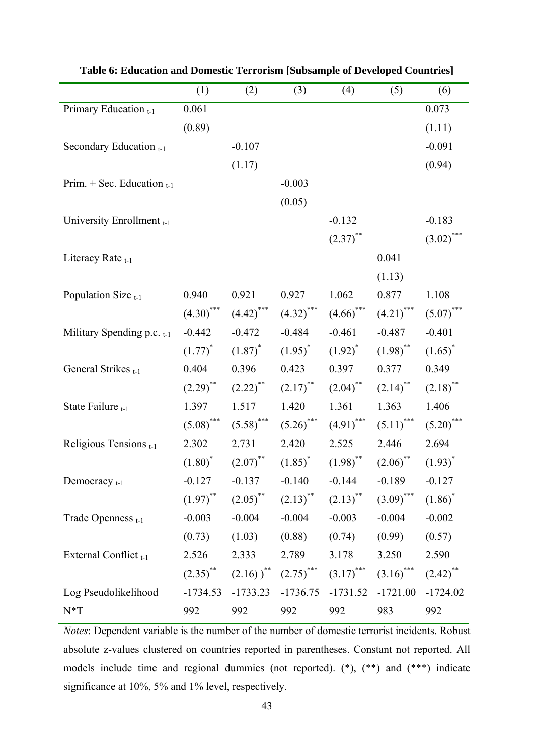|                                  | (1)                    | (2)                                          | (3)                     | (4)                    | (5)                     | (6)                    |
|----------------------------------|------------------------|----------------------------------------------|-------------------------|------------------------|-------------------------|------------------------|
| Primary Education t-1            | 0.061                  |                                              |                         |                        |                         | 0.073                  |
|                                  | (0.89)                 |                                              |                         |                        |                         | (1.11)                 |
| Secondary Education $_{t-1}$     |                        | $-0.107$                                     |                         |                        |                         | $-0.091$               |
|                                  |                        | (1.17)                                       |                         |                        |                         | (0.94)                 |
| Prim. + Sec. Education $_{t-1}$  |                        |                                              | $-0.003$                |                        |                         |                        |
|                                  |                        |                                              | (0.05)                  |                        |                         |                        |
| University Enrollment t-1        |                        |                                              |                         | $-0.132$               |                         | $-0.183$               |
|                                  |                        |                                              |                         | $(2.37)$ **            |                         | $(3.02)$ ***           |
| Literacy Rate <sub>t-1</sub>     |                        |                                              |                         |                        | 0.041                   |                        |
|                                  |                        |                                              |                         |                        | (1.13)                  |                        |
| Population Size $_{t-1}$         | 0.940                  | 0.921                                        | 0.927                   | 1.062                  | 0.877                   | 1.108                  |
|                                  | $(4.30)$ ***           | $(4.42)$ <sup>***</sup>                      | $(4.32)$ ***            | $(4.66)$ ***           | $(4.21)$ ***            | $(5.07)$ ***           |
| Military Spending p.c. $_{t-1}$  | $-0.442$               | $-0.472$                                     | $-0.484$                | $-0.461$               | $-0.487$                | $-0.401$               |
|                                  | $(1.77)^*$             | $(1.87)^{*}$                                 | $(1.95)^{*}$            | $(1.92)^{*}$           | $(1.98)$ <sup>**</sup>  | $(1.65)^*$             |
| General Strikes t-1              | 0.404                  | 0.396                                        | 0.423                   | 0.397                  | 0.377                   | 0.349                  |
|                                  | $(2.29)$ <sup>**</sup> | $(2.22)$ <sup>**</sup>                       | $(2.17)$ **             | $(2.04)$ **            | $(2.14)$ <sup>**</sup>  | $(2.18)$ **            |
| State Failure $t-1$              | 1.397                  | 1.517                                        | 1.420                   | 1.361                  | 1.363                   | 1.406                  |
|                                  | $(5.08)$ ***           | $(5.58)$ ***                                 | $(5.26)$ ***            | $(4.91)$ ***           | $(5.11)$ <sup>***</sup> | $(5.20)$ ***           |
| Religious Tensions t-1           | 2.302                  | 2.731                                        | 2.420                   | 2.525                  | 2.446                   | 2.694                  |
|                                  |                        | $(1.80)^*$ $(2.07)^{**}$                     | $(1.85)^{*}$            | $(1.98)$ <sup>**</sup> | $(2.06)$ <sup>**</sup>  | $(1.93)^{*}$           |
| Democracy <sub>t-1</sub>         | $-0.127$               | $-0.137$ $-0.140$ $-0.144$ $-0.189$ $-0.127$ |                         |                        |                         |                        |
|                                  | $(1.97)$ **            | $(2.05)$ <sup>**</sup>                       | $(2.13)$ <sup>**</sup>  | $(2.13)$ <sup>**</sup> | $(3.09)$ ***            | $(1.86)^*$             |
| Trade Openness <sub>t-1</sub>    | $-0.003$               | $-0.004$                                     | $-0.004$                | $-0.003$               | $-0.004$                | $-0.002$               |
|                                  | (0.73)                 | (1.03)                                       | (0.88)                  | (0.74)                 | (0.99)                  | (0.57)                 |
| External Conflict <sub>t-1</sub> | 2.526                  | 2.333                                        | 2.789                   | 3.178                  | 3.250                   | 2.590                  |
|                                  | $(2.35)$ <sup>**</sup> | $(2.16)$ <sup>**</sup>                       | $(2.75)$ <sup>***</sup> | $(3.17)$ ***           | $(3.16)$ ***            | $(2.42)$ <sup>**</sup> |
| Log Pseudolikelihood             | $-1734.53$             | $-1733.23$                                   | $-1736.75$              | $-1731.52$             | $-1721.00$              | $-1724.02$             |
| $N^*T$                           | 992                    | 992                                          | 992                     | 992                    | 983                     | 992                    |

**Table 6: Education and Domestic Terrorism [Subsample of Developed Countries]** 

*Notes*: Dependent variable is the number of the number of domestic terrorist incidents. Robust absolute z-values clustered on countries reported in parentheses. Constant not reported. All models include time and regional dummies (not reported). (\*), (\*\*) and (\*\*\*) indicate significance at 10%, 5% and 1% level, respectively.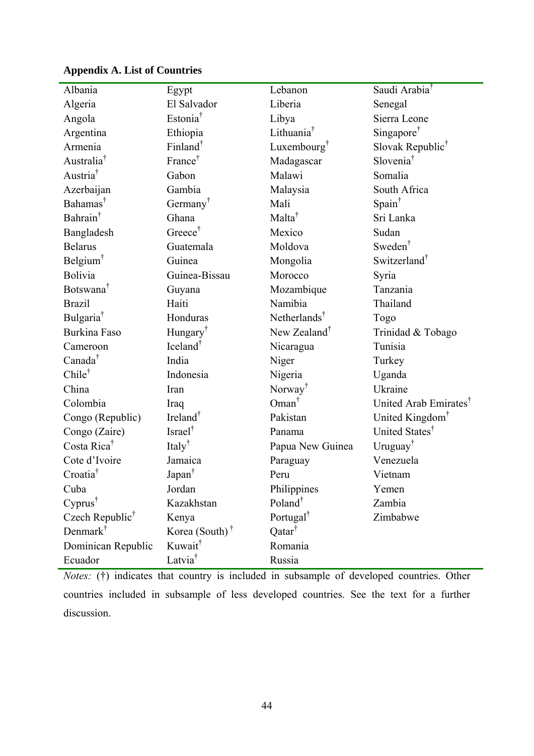| Albania                     | Egypt                   | Lebanon                  | Saudi Arabia <sup>†</sup>         |
|-----------------------------|-------------------------|--------------------------|-----------------------------------|
| Algeria                     | El Salvador             | Liberia                  | Senegal                           |
| Angola                      | Estonia <sup>†</sup>    | Libya                    | Sierra Leone                      |
| Argentina                   | Ethiopia                | Lithuania                | Singapore <sup>†</sup>            |
| Armenia                     | Finland $^{\dagger}$    | Luxembourg <sup>†</sup>  | Slovak Republic <sup>†</sup>      |
| Australia <sup>†</sup>      | France <sup>†</sup>     | Madagascar               | Slovenia <sup>†</sup>             |
| Austria <sup>†</sup>        | Gabon                   | Malawi                   | Somalia                           |
| Azerbaijan                  | Gambia                  | Malaysia                 | South Africa                      |
| Bahamas <sup>†</sup>        | Germany <sup>T</sup>    | Mali                     | Spain <sup>†</sup>                |
| Bahrain <sup>†</sup>        | Ghana                   | Malta <sup>†</sup>       | Sri Lanka                         |
| Bangladesh                  | Greece <sup>†</sup>     | Mexico                   | Sudan                             |
| <b>Belarus</b>              | Guatemala               | Moldova                  | Sweden <sup>†</sup>               |
| Belgium <sup>†</sup>        | Guinea                  | Mongolia                 | Switzerland <sup>†</sup>          |
| Bolivia                     | Guinea-Bissau           | Morocco                  | Syria                             |
| Botswana <sup>†</sup>       | Guyana                  | Mozambique               | Tanzania                          |
| <b>Brazil</b>               | Haiti                   | Namibia                  | Thailand                          |
| Bulgaria <sup>†</sup>       | Honduras                | Netherlands <sup>†</sup> | Togo                              |
| <b>Burkina Faso</b>         | Hungary <sup>†</sup>    | New Zealand <sup>†</sup> | Trinidad & Tobago                 |
| Cameroon                    | Iceland <sup>†</sup>    | Nicaragua                | Tunisia                           |
| Canada <sup>†</sup>         | India                   | Niger                    | Turkey                            |
| Chilet                      | Indonesia               | Nigeria                  | Uganda                            |
| China                       | Iran                    | Norway <sup>†</sup>      | Ukraine                           |
| Colombia                    | Iraq                    | $Oman^{\dagger}$         | United Arab Emirates <sup>†</sup> |
| Congo (Republic)            | Ireland <sup>†</sup>    | Pakistan                 | United Kingdom <sup>†</sup>       |
| Congo (Zaire)               | Israel <sup>†</sup>     | Panama                   | United States <sup>†</sup>        |
| Costa Rica <sup>†</sup>     | Italy <sup>†</sup>      | Papua New Guinea         | Uruguay <sup>†</sup>              |
| Cote d'Ivoire               | Jamaica                 | Paraguay                 | Venezuela                         |
| Croatia <sup>†</sup>        | Japan <sup>†</sup>      | Peru                     | Vietnam                           |
| Cuba                        | Jordan                  | Philippines              | Yemen                             |
| $Cyprus^{\dagger}$          | Kazakhstan              | Poland <sup>†</sup>      | Zambia                            |
| Czech Republic <sup>†</sup> | Kenya                   | Portugal <sup>†</sup>    | Zimbabwe                          |
| Denmark <sup>†</sup>        | Korea (South) $\dagger$ | Qatar <sup>†</sup>       |                                   |
| Dominican Republic          | Kuwait <sup>†</sup>     | Romania                  |                                   |
| Ecuador                     | Latvia <sup>†</sup>     | Russia                   |                                   |

# **Appendix A. List of Countries**

*Notes:* (†) indicates that country is included in subsample of developed countries. Other countries included in subsample of less developed countries. See the text for a further discussion.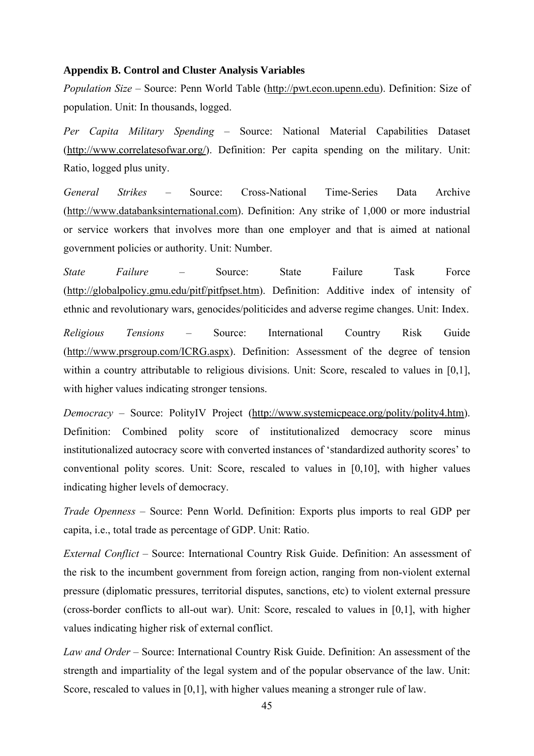#### **Appendix B. Control and Cluster Analysis Variables**

*Population Size* – Source: Penn World Table (http://pwt.econ.upenn.edu). Definition: Size of population. Unit: In thousands, logged.

*Per Capita Military Spending* – Source: National Material Capabilities Dataset (http://www.correlatesofwar.org/). Definition: Per capita spending on the military. Unit: Ratio, logged plus unity.

*General Strikes* – Source: Cross-National Time-Series Data Archive (http://www.databanksinternational.com). Definition: Any strike of 1,000 or more industrial or service workers that involves more than one employer and that is aimed at national government policies or authority. Unit: Number.

*State Failure* – Source: State Failure Task Force (http://globalpolicy.gmu.edu/pitf/pitfpset.htm). Definition: Additive index of intensity of ethnic and revolutionary wars, genocides/politicides and adverse regime changes. Unit: Index.

*Religious Tensions* – Source: International Country Risk Guide (http://www.prsgroup.com/ICRG.aspx). Definition: Assessment of the degree of tension within a country attributable to religious divisions. Unit: Score, rescaled to values in [0,1], with higher values indicating stronger tensions.

*Democracy* – Source: PolityIV Project (http://www.systemicpeace.org/polity/polity4.htm). Definition: Combined polity score of institutionalized democracy score minus institutionalized autocracy score with converted instances of 'standardized authority scores' to conventional polity scores. Unit: Score, rescaled to values in [0,10], with higher values indicating higher levels of democracy.

*Trade Openness* – Source: Penn World. Definition: Exports plus imports to real GDP per capita, i.e., total trade as percentage of GDP. Unit: Ratio.

*External Conflict* – Source: International Country Risk Guide. Definition: An assessment of the risk to the incumbent government from foreign action, ranging from non-violent external pressure (diplomatic pressures, territorial disputes, sanctions, etc) to violent external pressure (cross-border conflicts to all-out war). Unit: Score, rescaled to values in [0,1], with higher values indicating higher risk of external conflict.

*Law and Order* – Source: International Country Risk Guide. Definition: An assessment of the strength and impartiality of the legal system and of the popular observance of the law. Unit: Score, rescaled to values in [0,1], with higher values meaning a stronger rule of law.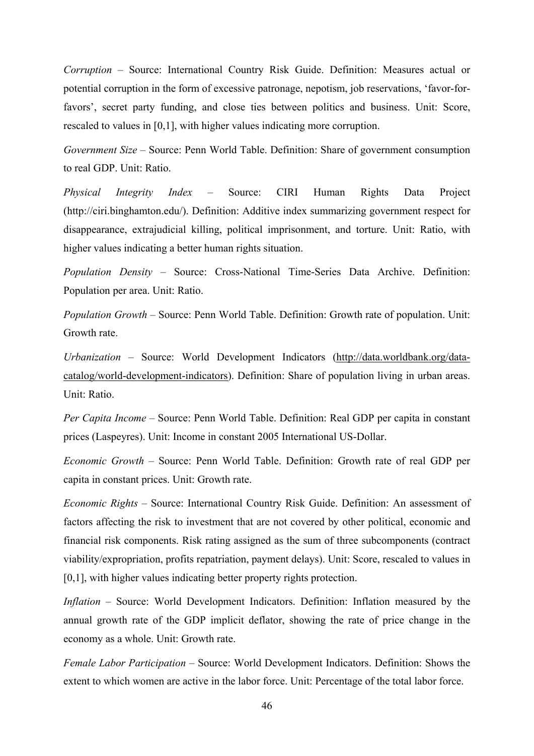*Corruption* – Source: International Country Risk Guide. Definition: Measures actual or potential corruption in the form of excessive patronage, nepotism, job reservations, 'favor-forfavors', secret party funding, and close ties between politics and business. Unit: Score, rescaled to values in [0,1], with higher values indicating more corruption.

*Government Size* – Source: Penn World Table. Definition: Share of government consumption to real GDP. Unit: Ratio.

*Physical Integrity Index* – Source: CIRI Human Rights Data Project (http://ciri.binghamton.edu/). Definition: Additive index summarizing government respect for disappearance, extrajudicial killing, political imprisonment, and torture. Unit: Ratio, with higher values indicating a better human rights situation.

*Population Density* – Source: Cross-National Time-Series Data Archive. Definition: Population per area. Unit: Ratio.

*Population Growth* – Source: Penn World Table. Definition: Growth rate of population. Unit: Growth rate.

*Urbanization* – Source: World Development Indicators (http://data.worldbank.org/datacatalog/world-development-indicators). Definition: Share of population living in urban areas. Unit: Ratio.

*Per Capita Income* – Source: Penn World Table. Definition: Real GDP per capita in constant prices (Laspeyres). Unit: Income in constant 2005 International US-Dollar.

*Economic Growth* – Source: Penn World Table. Definition: Growth rate of real GDP per capita in constant prices. Unit: Growth rate.

*Economic Rights* – Source: International Country Risk Guide. Definition: An assessment of factors affecting the risk to investment that are not covered by other political, economic and financial risk components. Risk rating assigned as the sum of three subcomponents (contract viability/expropriation, profits repatriation, payment delays). Unit: Score, rescaled to values in [0,1], with higher values indicating better property rights protection.

*Inflation* – Source: World Development Indicators. Definition: Inflation measured by the annual growth rate of the GDP implicit deflator, showing the rate of price change in the economy as a whole. Unit: Growth rate.

*Female Labor Participation* – Source: World Development Indicators. Definition: Shows the extent to which women are active in the labor force. Unit: Percentage of the total labor force.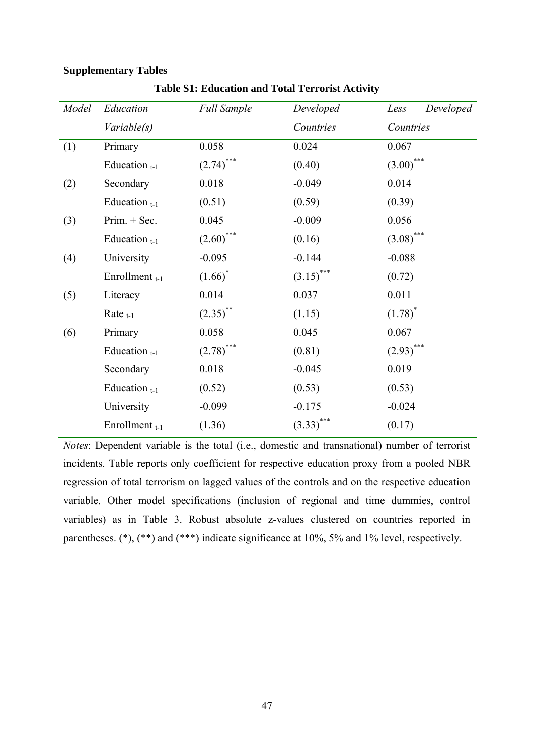# **Supplementary Tables**

| Model | Education                 | <b>Full Sample</b>     | Developed    | Developed<br>Less |
|-------|---------------------------|------------------------|--------------|-------------------|
|       | Variable(s)               |                        | Countries    | Countries         |
| (1)   | Primary                   | 0.058                  | 0.024        | 0.067             |
|       | Education $_{t-1}$        | $(2.74)$ ***           | (0.40)       | $(3.00)$ ***      |
| (2)   | Secondary                 | 0.018                  | $-0.049$     | 0.014             |
|       | Education $_{t-1}$        | (0.51)                 | (0.59)       | (0.39)            |
| (3)   | $Prim. + Sec.$            | 0.045                  | $-0.009$     | 0.056             |
|       | Education $_{t-1}$        | $(2.60)$ ***           | (0.16)       | $(3.08)$ ***      |
| (4)   | University                | $-0.095$               | $-0.144$     | $-0.088$          |
|       | Enrollment <sub>t-1</sub> | $(1.66)^*$             | $(3.15)$ *** | (0.72)            |
| (5)   | Literacy                  | 0.014                  | 0.037        | 0.011             |
|       | Rate $t-1$                | $(2.35)$ <sup>**</sup> | (1.15)       | $(1.78)^*$        |
| (6)   | Primary                   | 0.058                  | 0.045        | 0.067             |
|       | Education $_{t-1}$        | $(2.78)$ ***           | (0.81)       | $(2.93)$ ***      |
|       | Secondary                 | 0.018                  | $-0.045$     | 0.019             |
|       | Education $_{t-1}$        | (0.52)                 | (0.53)       | (0.53)            |
|       | University                | $-0.099$               | $-0.175$     | $-0.024$          |
|       | Enrollment $_{t-1}$       | (1.36)                 | $(3.33)$ *** | (0.17)            |

**Table S1: Education and Total Terrorist Activity** 

*Notes*: Dependent variable is the total (i.e., domestic and transnational) number of terrorist incidents. Table reports only coefficient for respective education proxy from a pooled NBR regression of total terrorism on lagged values of the controls and on the respective education variable. Other model specifications (inclusion of regional and time dummies, control variables) as in Table 3. Robust absolute z-values clustered on countries reported in parentheses. (\*), (\*\*) and (\*\*\*) indicate significance at 10%, 5% and 1% level, respectively.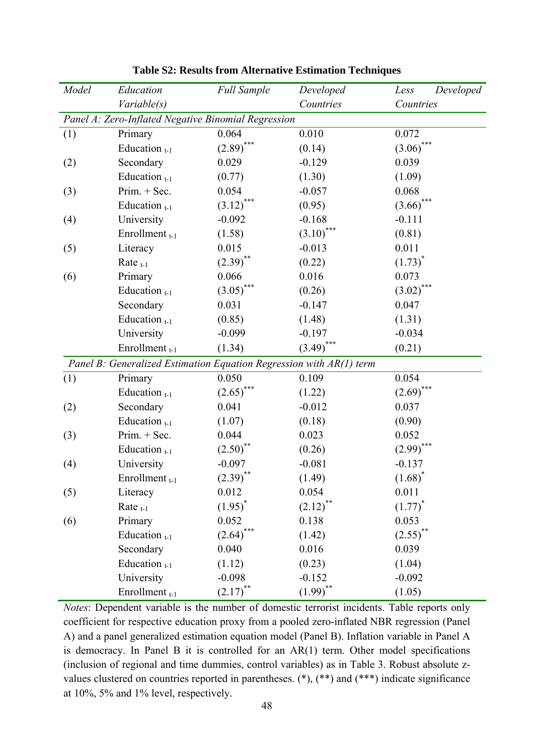| Model | Education                                                           | <b>Full Sample</b>      | Developed    | Developed<br>Less      |
|-------|---------------------------------------------------------------------|-------------------------|--------------|------------------------|
|       | Variable(s)                                                         |                         | Countries    | Countries              |
|       | Panel A: Zero-Inflated Negative Binomial Regression                 |                         |              |                        |
| (1)   | Primary                                                             | 0.064                   | 0.010        | 0.072                  |
|       | Education $_{t-1}$                                                  | $(2.89)$ ***            | (0.14)       | $***$<br>(3.06)        |
| (2)   | Secondary                                                           | 0.029                   | $-0.129$     | 0.039                  |
|       | Education $_{t-1}$                                                  | (0.77)                  | (1.30)       | (1.09)                 |
| (3)   | $Prim. + Sec.$                                                      | 0.054                   | $-0.057$     | 0.068                  |
|       | Education $_{t-1}$                                                  | (3.12)                  | (0.95)       | (3.66)                 |
| (4)   | University                                                          | $-0.092$                | $-0.168$     | $-0.111$               |
|       | Enrollment <sub>t-1</sub>                                           | (1.58)                  | $(3.10)$ *** | (0.81)                 |
| (5)   | Literacy                                                            | 0.015                   | $-0.013$     | 0.011                  |
|       | Rate $_{t-1}$                                                       | $(2.39)$ **             | (0.22)       | $(1.73)^{*}$           |
| (6)   | Primary                                                             | 0.066                   | 0.016        | 0.073                  |
|       | Education $_{t-1}$                                                  | ***<br>(3.05)           | (0.26)       | $(3.02)$ ***           |
|       | Secondary                                                           | 0.031                   | $-0.147$     | 0.047                  |
|       | Education $_{t-1}$                                                  | (0.85)                  | (1.48)       | (1.31)                 |
|       | University                                                          | $-0.099$                | $-0.197$     | $-0.034$               |
|       | Enrollment <sub>t-1</sub>                                           | (1.34)                  | $(3.49)$ *** | (0.21)                 |
|       | Panel B: Generalized Estimation Equation Regression with AR(1) term |                         |              |                        |
| (1)   | Primary                                                             | 0.050                   | 0.109        | 0.054                  |
|       | Education $_{t-1}$                                                  | $(2.65)$ <sup>***</sup> | (1.22)       | $(2.69)$ ***           |
| (2)   | Secondary                                                           | 0.041                   | $-0.012$     | 0.037                  |
|       | Education $_{t-1}$                                                  | (1.07)                  | (0.18)       | (0.90)                 |
| (3)   | $Prim. + Sec.$                                                      | 0.044                   | 0.023        | 0.052                  |
|       | Education $_{t-1}$                                                  | (2.50)                  | (0.26)       | (2.99)                 |
| (4)   | University                                                          | $-0.097$                | $-0.081$     | $-0.137$               |
|       | Enrollment $_{t-1}$                                                 | $(2.39)$ **             | (1.49)       | $(1.68)^*$             |
| (5)   | Literacy                                                            | 0.012                   | 0.054        | 0.011                  |
|       | Rate $_{t-1}$                                                       | $(1.95)^*$              | $(2.12)$ **  | $(1.77)^*$             |
| (6)   | Primary                                                             | 0.052                   | 0.138        | 0.053                  |
|       | Education $_{t-1}$                                                  | ***<br>(2.64)           | (1.42)       | $(2.55)$ <sup>**</sup> |
|       | Secondary                                                           | 0.040                   | 0.016        | 0.039                  |
|       | Education $_{t-1}$                                                  | (1.12)                  | (0.23)       | (1.04)                 |
|       | University                                                          | $-0.098$                | $-0.152$     | $-0.092$               |
|       | Enrollment <sub>t-1</sub>                                           | $(2.17)$ <sup>**</sup>  | $(1.99)$ **  | (1.05)                 |

**Table S2: Results from Alternative Estimation Techniques** 

*Notes*: Dependent variable is the number of domestic terrorist incidents. Table reports only coefficient for respective education proxy from a pooled zero-inflated NBR regression (Panel A) and a panel generalized estimation equation model (Panel B). Inflation variable in Panel A is democracy. In Panel B it is controlled for an AR(1) term. Other model specifications (inclusion of regional and time dummies, control variables) as in Table 3. Robust absolute zvalues clustered on countries reported in parentheses. (\*), (\*\*) and (\*\*\*) indicate significance at 10%, 5% and 1% level, respectively.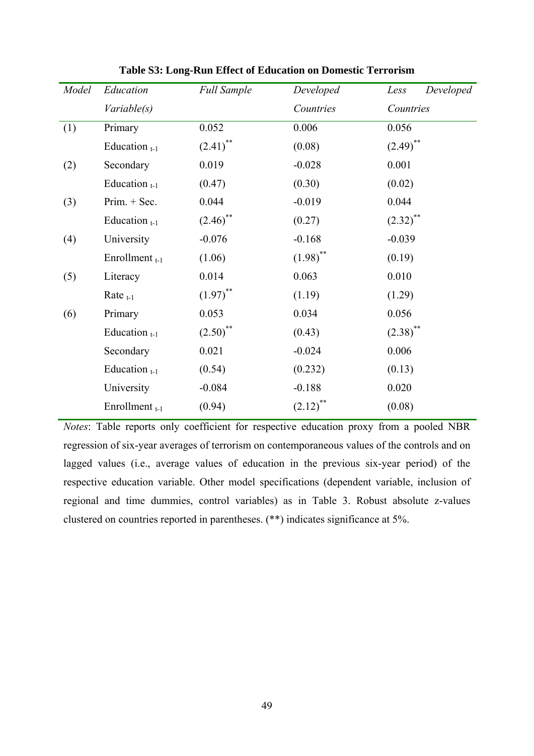| Model | Education           | <b>Full Sample</b>     | Developed              | Developed<br>Less      |
|-------|---------------------|------------------------|------------------------|------------------------|
|       | Variable(s)         |                        | Countries              | Countries              |
| (1)   | Primary             | 0.052                  | 0.006                  | 0.056                  |
|       | Education $_{t-1}$  | $(2.41)$ <sup>**</sup> | (0.08)                 | $(2.49)$ **            |
| (2)   | Secondary           | 0.019                  | $-0.028$               | 0.001                  |
|       | Education $_{t-1}$  | (0.47)                 | (0.30)                 | (0.02)                 |
| (3)   | $Prim. + Sec.$      | 0.044                  | $-0.019$               | 0.044                  |
|       | Education $_{t-1}$  | $(2.46)$ <sup>**</sup> | (0.27)                 | $(2.32)$ <sup>**</sup> |
| (4)   | University          | $-0.076$               | $-0.168$               | $-0.039$               |
|       | Enrollment $_{t-1}$ | (1.06)                 | $(1.98)$ <sup>**</sup> | (0.19)                 |
| (5)   | Literacy            | 0.014                  | 0.063                  | 0.010                  |
|       | Rate $_{t-1}$       | $(1.97)$ <sup>**</sup> | (1.19)                 | (1.29)                 |
| (6)   | Primary             | 0.053                  | 0.034                  | 0.056                  |
|       | Education $_{t-1}$  | $(2.50)$ <sup>**</sup> | (0.43)                 | $(2.38)$ **            |
|       | Secondary           | 0.021                  | $-0.024$               | 0.006                  |
|       | Education $_{t-1}$  | (0.54)                 | (0.232)                | (0.13)                 |
|       | University          | $-0.084$               | $-0.188$               | 0.020                  |
|       | Enrollment $_{t-1}$ | (0.94)                 | $(2.12)$ <sup>**</sup> | (0.08)                 |

**Table S3: Long-Run Effect of Education on Domestic Terrorism** 

*Notes*: Table reports only coefficient for respective education proxy from a pooled NBR regression of six-year averages of terrorism on contemporaneous values of the controls and on lagged values (i.e., average values of education in the previous six-year period) of the respective education variable. Other model specifications (dependent variable, inclusion of regional and time dummies, control variables) as in Table 3. Robust absolute z-values clustered on countries reported in parentheses. (\*\*) indicates significance at 5%.